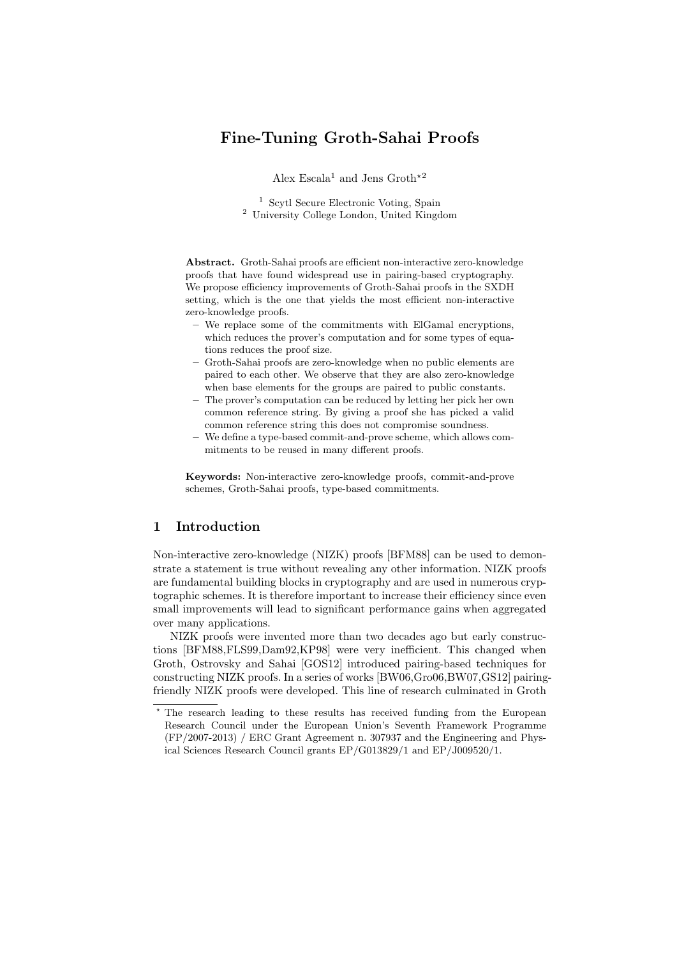# Fine-Tuning Groth-Sahai Proofs

Alex Escala<sup>1</sup> and Jens Groth<sup>\*2</sup>

<sup>1</sup> Scytl Secure Electronic Voting, Spain <sup>2</sup> University College London, United Kingdom

Abstract. Groth-Sahai proofs are efficient non-interactive zero-knowledge proofs that have found widespread use in pairing-based cryptography. We propose efficiency improvements of Groth-Sahai proofs in the SXDH setting, which is the one that yields the most efficient non-interactive zero-knowledge proofs.

- We replace some of the commitments with ElGamal encryptions, which reduces the prover's computation and for some types of equations reduces the proof size.
- Groth-Sahai proofs are zero-knowledge when no public elements are paired to each other. We observe that they are also zero-knowledge when base elements for the groups are paired to public constants.
- The prover's computation can be reduced by letting her pick her own common reference string. By giving a proof she has picked a valid common reference string this does not compromise soundness.
- We define a type-based commit-and-prove scheme, which allows commitments to be reused in many different proofs.

Keywords: Non-interactive zero-knowledge proofs, commit-and-prove schemes, Groth-Sahai proofs, type-based commitments.

# 1 Introduction

Non-interactive zero-knowledge (NIZK) proofs [BFM88] can be used to demonstrate a statement is true without revealing any other information. NIZK proofs are fundamental building blocks in cryptography and are used in numerous cryptographic schemes. It is therefore important to increase their efficiency since even small improvements will lead to significant performance gains when aggregated over many applications.

NIZK proofs were invented more than two decades ago but early constructions [BFM88,FLS99,Dam92,KP98] were very inefficient. This changed when Groth, Ostrovsky and Sahai [GOS12] introduced pairing-based techniques for constructing NIZK proofs. In a series of works [BW06,Gro06,BW07,GS12] pairingfriendly NIZK proofs were developed. This line of research culminated in Groth

<sup>?</sup> The research leading to these results has received funding from the European Research Council under the European Union's Seventh Framework Programme (FP/2007-2013) / ERC Grant Agreement n. 307937 and the Engineering and Physical Sciences Research Council grants EP/G013829/1 and EP/J009520/1.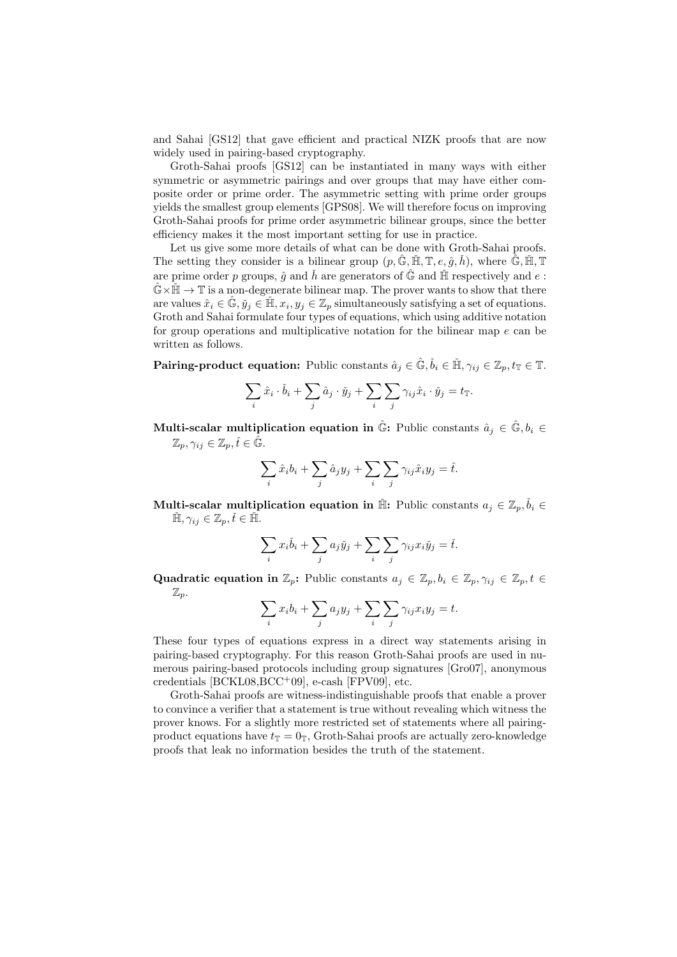and Sahai [GS12] that gave efficient and practical NIZK proofs that are now widely used in pairing-based cryptography.

Groth-Sahai proofs [GS12] can be instantiated in many ways with either symmetric or asymmetric pairings and over groups that may have either composite order or prime order. The asymmetric setting with prime order groups yields the smallest group elements [GPS08]. We will therefore focus on improving Groth-Sahai proofs for prime order asymmetric bilinear groups, since the better efficiency makes it the most important setting for use in practice.

Let us give some more details of what can be done with Groth-Sahai proofs. The setting they consider is a bilinear group  $(p, \hat{\mathbb{G}}, \check{\mathbb{H}}, \mathbb{T}, e, \hat{g}, \check{h})$ , where  $\hat{\mathbb{G}}, \check{\mathbb{H}}, \mathbb{T}$ are prime order p groups,  $\hat{g}$  and  $\check{h}$  are generators of  $\hat{\mathbb{G}}$  and  $\check{\mathbb{H}}$  respectively and e:  $\mathbb{G}\times\mathbb{H}\to\mathbb{T}$  is a non-degenerate bilinear map. The prover wants to show that there are values  $\hat{x}_i \in \mathbb{\hat{G}}, \check{y}_j \in \mathbb{\check{H}}, x_i, y_j \in \mathbb{Z}_p$  simultaneously satisfying a set of equations. Groth and Sahai formulate four types of equations, which using additive notation for group operations and multiplicative notation for the bilinear map  $e$  can be written as follows.

**Pairing-product equation:** Public constants  $\hat{a}_j \in \hat{\mathbb{G}}, \check{b}_i \in \check{\mathbb{H}}, \gamma_{ij} \in \mathbb{Z}_p, t_{\mathbb{T}} \in \mathbb{T}$ .

$$
\sum_{i} \hat{x}_i \cdot \check{b}_i + \sum_{j} \hat{a}_j \cdot \check{y}_j + \sum_{i} \sum_{j} \gamma_{ij} \hat{x}_i \cdot \check{y}_j = t_{\mathbb{T}}.
$$

Multi-scalar multiplication equation in  $\hat{\mathbb{G}}$ : Public constants  $\hat{a}_i \in \hat{\mathbb{G}}, b_i \in$  $\mathbb{Z}_p, \gamma_{ij} \in \mathbb{Z}_p, \hat{t} \in \hat{\mathbb{G}}.$ 

$$
\sum_{i} \hat{x}_{i} b_{i} + \sum_{j} \hat{a}_{j} y_{j} + \sum_{i} \sum_{j} \gamma_{ij} \hat{x}_{i} y_{j} = \hat{t}.
$$

Multi-scalar multiplication equation in  $\check{\mathbb{H}}$ : Public constants  $a_j\in\mathbb{Z}_p,\check{b}_i\in\mathbb{R}$  $\check{\mathbb{H}}, \gamma_{ij} \in \mathbb{Z}_p, \check{t} \in \check{\mathbb{H}}.$ 

$$
\sum_{i} x_i \check{b}_i + \sum_{j} a_j \check{y}_j + \sum_{i} \sum_{j} \gamma_{ij} x_i \check{y}_j = \check{t}.
$$

Quadratic equation in  $\mathbb{Z}_p$ : Public constants  $a_i \in \mathbb{Z}_p, b_i \in \mathbb{Z}_p, \gamma_{ij} \in \mathbb{Z}_p, t \in$  $\mathbb{Z}_p$ .

$$
\sum_i x_i b_i + \sum_j a_j y_j + \sum_i \sum_j \gamma_{ij} x_i y_j = t.
$$

These four types of equations express in a direct way statements arising in pairing-based cryptography. For this reason Groth-Sahai proofs are used in numerous pairing-based protocols including group signatures [Gro07], anonymous credentials  $[BCKL08, BCC^+09]$ , e-cash  $[FPV09]$ , etc.

Groth-Sahai proofs are witness-indistinguishable proofs that enable a prover to convince a verifier that a statement is true without revealing which witness the prover knows. For a slightly more restricted set of statements where all pairingproduct equations have  $t_{\mathbb{T}} = 0_{\mathbb{T}}$ , Groth-Sahai proofs are actually zero-knowledge proofs that leak no information besides the truth of the statement.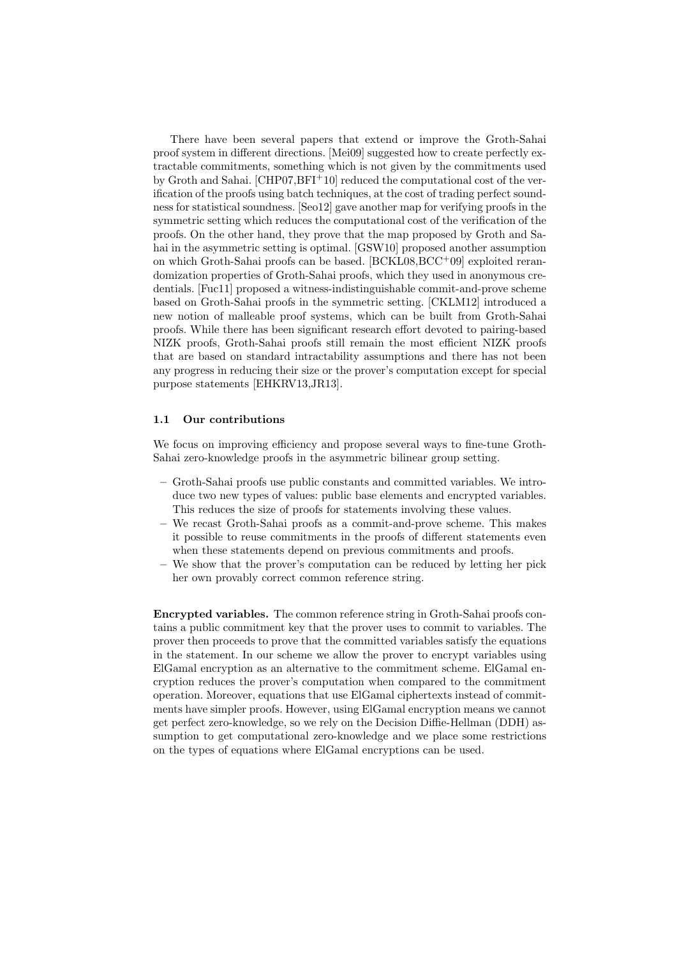There have been several papers that extend or improve the Groth-Sahai proof system in different directions. [Mei09] suggested how to create perfectly extractable commitments, something which is not given by the commitments used by Groth and Sahai. [CHP07,BFI+10] reduced the computational cost of the verification of the proofs using batch techniques, at the cost of trading perfect soundness for statistical soundness. [Seo12] gave another map for verifying proofs in the symmetric setting which reduces the computational cost of the verification of the proofs. On the other hand, they prove that the map proposed by Groth and Sahai in the asymmetric setting is optimal. [GSW10] proposed another assumption on which Groth-Sahai proofs can be based. [BCKL08,BCC+09] exploited rerandomization properties of Groth-Sahai proofs, which they used in anonymous credentials. [Fuc11] proposed a witness-indistinguishable commit-and-prove scheme based on Groth-Sahai proofs in the symmetric setting. [CKLM12] introduced a new notion of malleable proof systems, which can be built from Groth-Sahai proofs. While there has been significant research effort devoted to pairing-based NIZK proofs, Groth-Sahai proofs still remain the most efficient NIZK proofs that are based on standard intractability assumptions and there has not been any progress in reducing their size or the prover's computation except for special purpose statements [EHKRV13,JR13].

### 1.1 Our contributions

We focus on improving efficiency and propose several ways to fine-tune Groth-Sahai zero-knowledge proofs in the asymmetric bilinear group setting.

- Groth-Sahai proofs use public constants and committed variables. We introduce two new types of values: public base elements and encrypted variables. This reduces the size of proofs for statements involving these values.
- We recast Groth-Sahai proofs as a commit-and-prove scheme. This makes it possible to reuse commitments in the proofs of different statements even when these statements depend on previous commitments and proofs.
- We show that the prover's computation can be reduced by letting her pick her own provably correct common reference string.

Encrypted variables. The common reference string in Groth-Sahai proofs contains a public commitment key that the prover uses to commit to variables. The prover then proceeds to prove that the committed variables satisfy the equations in the statement. In our scheme we allow the prover to encrypt variables using ElGamal encryption as an alternative to the commitment scheme. ElGamal encryption reduces the prover's computation when compared to the commitment operation. Moreover, equations that use ElGamal ciphertexts instead of commitments have simpler proofs. However, using ElGamal encryption means we cannot get perfect zero-knowledge, so we rely on the Decision Diffie-Hellman (DDH) assumption to get computational zero-knowledge and we place some restrictions on the types of equations where ElGamal encryptions can be used.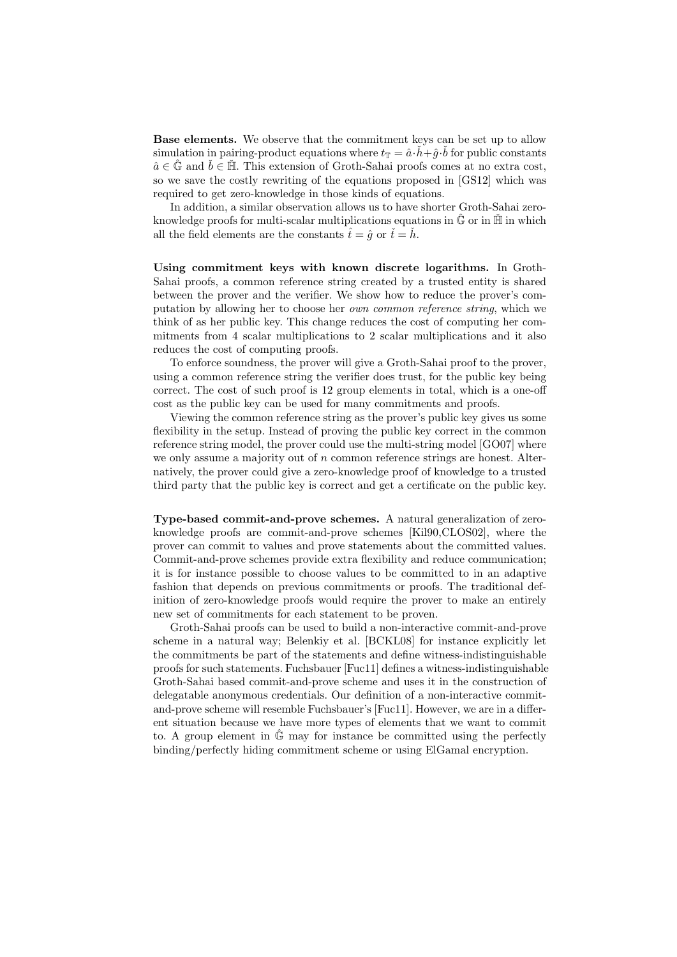Base elements. We observe that the commitment keys can be set up to allow simulation in pairing-product equations where  $t_{\mathbb{T}} = \hat{a} \cdot \check{h} + \hat{g} \cdot \check{b}$  for public constants  $\hat{a} \in \hat{\mathbb{G}}$  and  $\check{b} \in \check{\mathbb{H}}$ . This extension of Groth-Sahai proofs comes at no extra cost, so we save the costly rewriting of the equations proposed in [GS12] which was required to get zero-knowledge in those kinds of equations.

In addition, a similar observation allows us to have shorter Groth-Sahai zeroknowledge proofs for multi-scalar multiplications equations in  $\hat{\mathbb{G}}$  or in  $\check{\mathbb{H}}$  in which all the field elements are the constants  $\hat{t} = \hat{g}$  or  $\check{t} = \check{h}$ .

Using commitment keys with known discrete logarithms. In Groth-Sahai proofs, a common reference string created by a trusted entity is shared between the prover and the verifier. We show how to reduce the prover's computation by allowing her to choose her own common reference string, which we think of as her public key. This change reduces the cost of computing her commitments from 4 scalar multiplications to 2 scalar multiplications and it also reduces the cost of computing proofs.

To enforce soundness, the prover will give a Groth-Sahai proof to the prover, using a common reference string the verifier does trust, for the public key being correct. The cost of such proof is 12 group elements in total, which is a one-off cost as the public key can be used for many commitments and proofs.

Viewing the common reference string as the prover's public key gives us some flexibility in the setup. Instead of proving the public key correct in the common reference string model, the prover could use the multi-string model [GO07] where we only assume a majority out of  $n$  common reference strings are honest. Alternatively, the prover could give a zero-knowledge proof of knowledge to a trusted third party that the public key is correct and get a certificate on the public key.

Type-based commit-and-prove schemes. A natural generalization of zeroknowledge proofs are commit-and-prove schemes [Kil90,CLOS02], where the prover can commit to values and prove statements about the committed values. Commit-and-prove schemes provide extra flexibility and reduce communication; it is for instance possible to choose values to be committed to in an adaptive fashion that depends on previous commitments or proofs. The traditional definition of zero-knowledge proofs would require the prover to make an entirely new set of commitments for each statement to be proven.

Groth-Sahai proofs can be used to build a non-interactive commit-and-prove scheme in a natural way; Belenkiy et al. [BCKL08] for instance explicitly let the commitments be part of the statements and define witness-indistinguishable proofs for such statements. Fuchsbauer [Fuc11] defines a witness-indistinguishable Groth-Sahai based commit-and-prove scheme and uses it in the construction of delegatable anonymous credentials. Our definition of a non-interactive commitand-prove scheme will resemble Fuchsbauer's [Fuc11]. However, we are in a different situation because we have more types of elements that we want to commit to. A group element in  $\mathbb{G}$  may for instance be committed using the perfectly binding/perfectly hiding commitment scheme or using ElGamal encryption.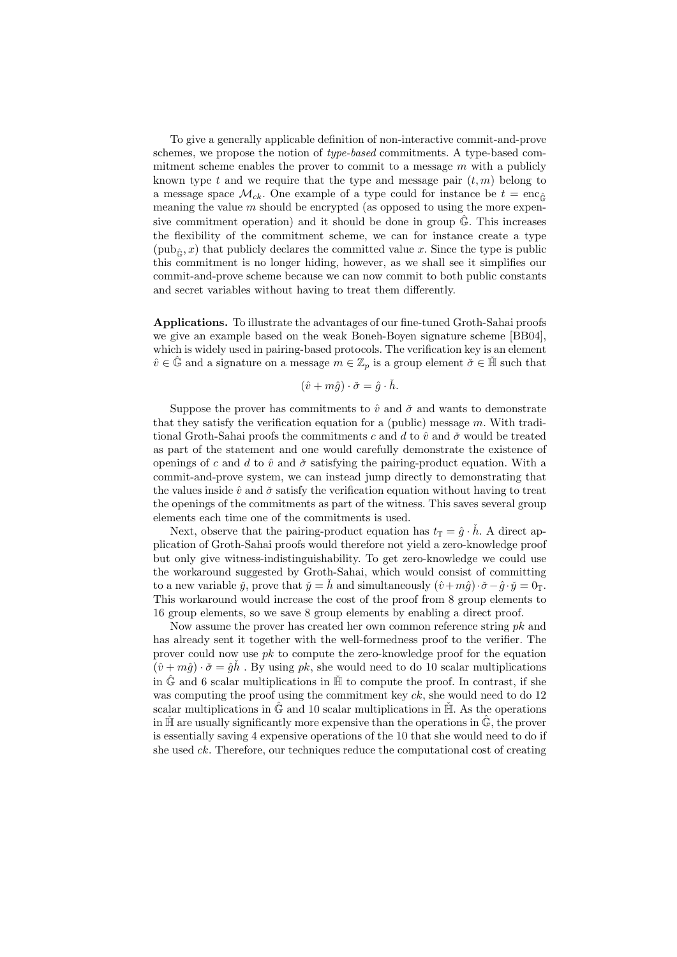To give a generally applicable definition of non-interactive commit-and-prove schemes, we propose the notion of *type-based* commitments. A type-based commitment scheme enables the prover to commit to a message  $m$  with a publicly known type t and we require that the type and message pair  $(t, m)$  belong to a message space  $\mathcal{M}_{ck}$ . One example of a type could for instance be  $t = \text{enc}_{\hat{c}}$ meaning the value  $m$  should be encrypted (as opposed to using the more expensive commitment operation) and it should be done in group  $\hat{\mathbb{G}}$ . This increases the flexibility of the commitment scheme, we can for instance create a type  $(\text{pub}_\hat{c}, x)$  that publicly declares the committed value x. Since the type is public this commitment is no longer hiding, however, as we shall see it simplifies our commit-and-prove scheme because we can now commit to both public constants and secret variables without having to treat them differently.

Applications. To illustrate the advantages of our fine-tuned Groth-Sahai proofs we give an example based on the weak Boneh-Boyen signature scheme [BB04], which is widely used in pairing-based protocols. The verification key is an element  $\hat{v} \in \mathbb{G}$  and a signature on a message  $m \in \mathbb{Z}_p$  is a group element  $\check{\sigma} \in \check{\mathbb{H}}$  such that

$$
(\hat{v} + m\hat{g}) \cdot \check{\sigma} = \hat{g} \cdot \check{h}.
$$

Suppose the prover has commitments to  $\hat{v}$  and  $\check{\sigma}$  and wants to demonstrate that they satisfy the verification equation for a (public) message  $m$ . With traditional Groth-Sahai proofs the commitments c and d to  $\hat{v}$  and  $\check{\sigma}$  would be treated as part of the statement and one would carefully demonstrate the existence of openings of c and d to  $\hat{v}$  and  $\check{\sigma}$  satisfying the pairing-product equation. With a commit-and-prove system, we can instead jump directly to demonstrating that the values inside  $\hat{v}$  and  $\check{\sigma}$  satisfy the verification equation without having to treat the openings of the commitments as part of the witness. This saves several group elements each time one of the commitments is used.

Next, observe that the pairing-product equation has  $t_{\mathbb{T}} = \hat{g} \cdot \hat{h}$ . A direct application of Groth-Sahai proofs would therefore not yield a zero-knowledge proof but only give witness-indistinguishability. To get zero-knowledge we could use the workaround suggested by Groth-Sahai, which would consist of committing to a new variable  $\check{y}$ , prove that  $\check{y} = \check{h}$  and simultaneously  $(\hat{v}+m\hat{g})\cdot\check{\sigma}-\hat{g}\cdot\check{y}=0_T$ . This workaround would increase the cost of the proof from 8 group elements to 16 group elements, so we save 8 group elements by enabling a direct proof.

Now assume the prover has created her own common reference string  $pk$  and has already sent it together with the well-formedness proof to the verifier. The prover could now use  $pk$  to compute the zero-knowledge proof for the equation  $(\hat{v} + m\hat{g}) \cdot \check{\sigma} = \hat{g}\check{h}$ . By using pk, she would need to do 10 scalar multiplications in  $\hat{\mathbb{G}}$  and 6 scalar multiplications in  $\hat{\mathbb{H}}$  to compute the proof. In contrast, if she was computing the proof using the commitment key  $ck$ , she would need to do 12 scalar multiplications in  $\hat{\mathbb{G}}$  and 10 scalar multiplications in  $\hat{\mathbb{H}}$ . As the operations in  $H$  are usually significantly more expensive than the operations in  $\tilde{G}$ , the prover is essentially saving 4 expensive operations of the 10 that she would need to do if she used  $ck$ . Therefore, our techniques reduce the computational cost of creating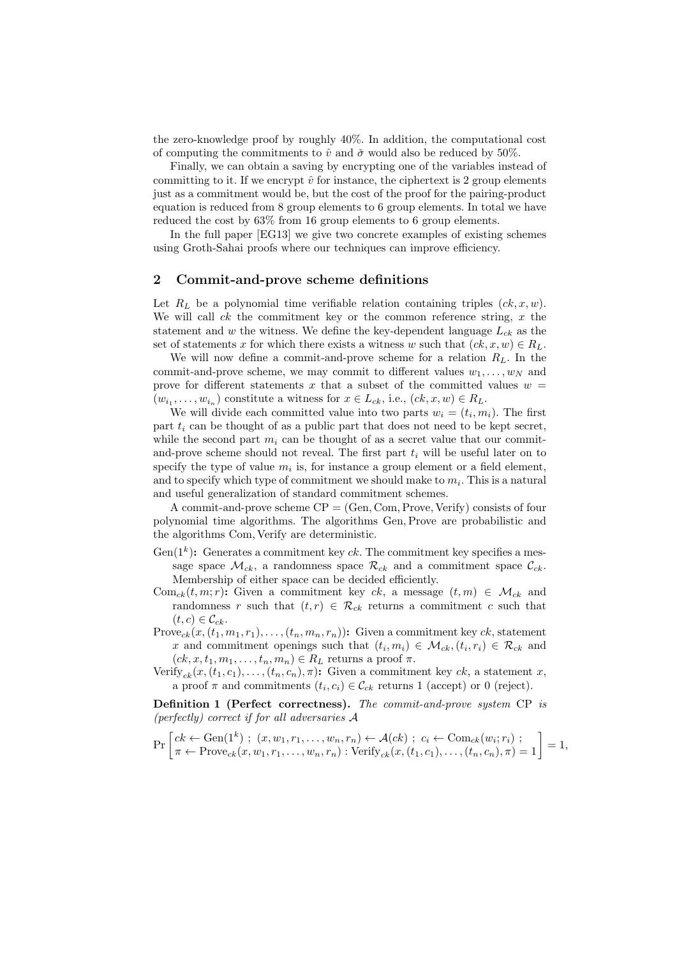the zero-knowledge proof by roughly 40%. In addition, the computational cost of computing the commitments to  $\hat{v}$  and  $\check{\sigma}$  would also be reduced by 50%.

Finally, we can obtain a saving by encrypting one of the variables instead of committing to it. If we encrypt  $\hat{v}$  for instance, the ciphertext is 2 group elements just as a commitment would be, but the cost of the proof for the pairing-product equation is reduced from 8 group elements to 6 group elements. In total we have reduced the cost by 63% from 16 group elements to 6 group elements.

In the full paper [EG13] we give two concrete examples of existing schemes using Groth-Sahai proofs where our techniques can improve efficiency.

# 2 Commit-and-prove scheme definitions

Let  $R_L$  be a polynomial time verifiable relation containing triples  $(ck, x, w)$ . We will call  $ck$  the commitment key or the common reference string,  $x$  the statement and w the witness. We define the key-dependent language  $L_{ck}$  as the set of statements x for which there exists a witness w such that  $(ck, x, w) \in R_L$ .

We will now define a commit-and-prove scheme for a relation  $R_L$ . In the commit-and-prove scheme, we may commit to different values  $w_1, \ldots, w_N$  and prove for different statements x that a subset of the committed values  $w =$  $(w_{i_1}, \ldots, w_{i_n})$  constitute a witness for  $x \in L_{ck}$ , i.e.,  $(ck, x, w) \in R_L$ .

We will divide each committed value into two parts  $w_i = (t_i, m_i)$ . The first part  $t_i$  can be thought of as a public part that does not need to be kept secret, while the second part  $m_i$  can be thought of as a secret value that our commitand-prove scheme should not reveal. The first part  $t_i$  will be useful later on to specify the type of value  $m_i$  is, for instance a group element or a field element, and to specify which type of commitment we should make to  $m_i$ . This is a natural and useful generalization of standard commitment schemes.

A commit-and-prove scheme  $\text{CP} = (\text{Gen}, \text{Com}, \text{Prove}, \text{Verify})$  consists of four polynomial time algorithms. The algorithms Gen,Prove are probabilistic and the algorithms Com, Verify are deterministic.

- Gen( $1^k$ ): Generates a commitment key ck. The commitment key specifies a message space  $\mathcal{M}_{ck}$ , a randomness space  $\mathcal{R}_{ck}$  and a commitment space  $\mathcal{C}_{ck}$ . Membership of either space can be decided efficiently.
- Com<sub>ck</sub> $(t, m; r)$ : Given a commitment key ck, a message  $(t, m) \in \mathcal{M}_{ck}$  and randomness r such that  $(t, r) \in \mathcal{R}_{ck}$  returns a commitment c such that  $(t, c) \in \mathcal{C}_{ck}$ .
- Prove<sub>ck</sub> $(x,(t_1,m_1,r_1),\ldots,(t_n,m_n,r_n))$ : Given a commitment key ck, statement x and commitment openings such that  $(t_i, m_i) \in M_{ck}, (t_i, r_i) \in \mathcal{R}_{ck}$  and  $(ck, x, t_1, m_1, \ldots, t_n, m_n) \in R_L$  returns a proof  $\pi$ .
- Verify<sub>ck</sub> $(x,(t_1,c_1),\ldots,(t_n,c_n),\pi)$ : Given a commitment key ck, a statement x, a proof  $\pi$  and commitments  $(t_i, c_i) \in \mathcal{C}_{ck}$  returns 1 (accept) or 0 (reject).

Definition 1 (Perfect correctness). The commit-and-prove system CP is (perfectly) correct if for all adversaries A

$$
\Pr\left[ck \leftarrow \text{Gen}(1^k) ; (x, w_1, r_1, \dots, w_n, r_n) \leftarrow \mathcal{A}(ck) ; c_i \leftarrow \text{Com}_{ck}(w_i; r_i) ;\\ \pi \leftarrow \text{Prove}_{ck}(x, w_1, r_1, \dots, w_n, r_n) : \text{Verify}_{ck}(x, (t_1, c_1), \dots, (t_n, c_n), \pi) = 1\right] = 1,
$$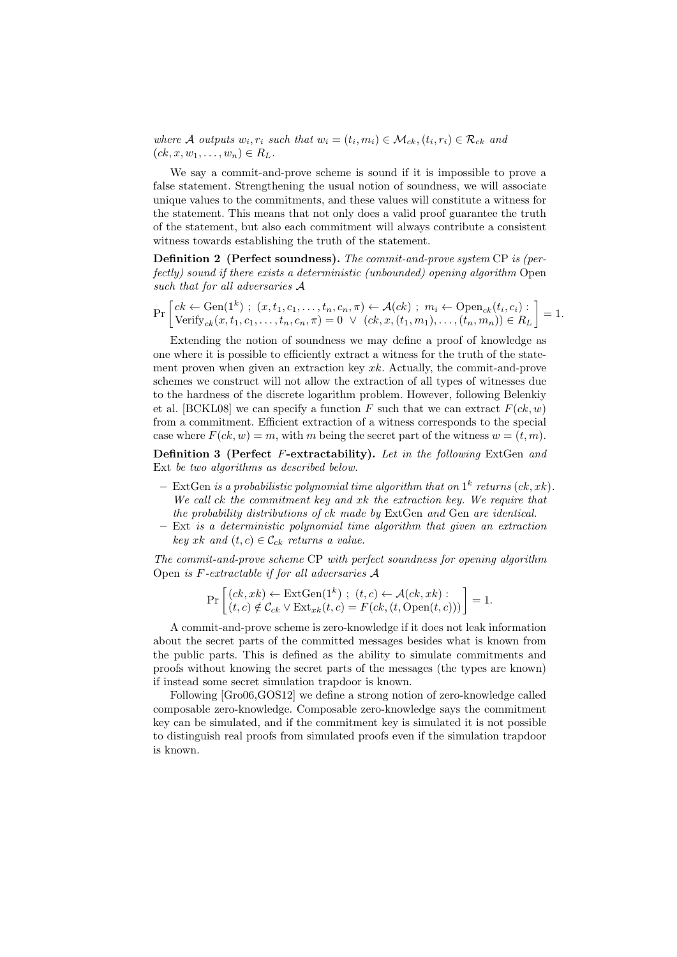where A outputs  $w_i, r_i$  such that  $w_i = (t_i, m_i) \in M_{ck}, (t_i, r_i) \in \mathcal{R}_{ck}$  and  $(ck, x, w_1, \ldots, w_n) \in R_L$ .

We say a commit-and-prove scheme is sound if it is impossible to prove a false statement. Strengthening the usual notion of soundness, we will associate unique values to the commitments, and these values will constitute a witness for the statement. This means that not only does a valid proof guarantee the truth of the statement, but also each commitment will always contribute a consistent witness towards establishing the truth of the statement.

Definition 2 (Perfect soundness). The commit-and-prove system CP is (perfectly) sound if there exists a deterministic (unbounded) opening algorithm Open such that for all adversaries A

$$
\Pr\left[ck \leftarrow \text{Gen}(1^k) ; (x, t_1, c_1, \dots, t_n, c_n, \pi) \leftarrow \mathcal{A}(ck) ; m_i \leftarrow \text{Open}_{ck}(t_i, c_i) : \right] = 1.
$$
\n
$$
\text{Verify}_{ck}(x, t_1, c_1, \dots, t_n, c_n, \pi) = 0 \lor (ck, x, (t_1, m_1), \dots, (t_n, m_n)) \in R_L\right] = 1.
$$

Extending the notion of soundness we may define a proof of knowledge as one where it is possible to efficiently extract a witness for the truth of the statement proven when given an extraction key  $x_k$ . Actually, the commit-and-prove schemes we construct will not allow the extraction of all types of witnesses due to the hardness of the discrete logarithm problem. However, following Belenkiy et al. [BCKL08] we can specify a function F such that we can extract  $F(ck, w)$ from a commitment. Efficient extraction of a witness corresponds to the special case where  $F(ck, w) = m$ , with m being the secret part of the witness  $w = (t, m)$ .

Definition 3 (Perfect F-extractability). Let in the following ExtGen and Ext be two algorithms as described below.

- ExtGen is a probabilistic polynomial time algorithm that on  $1^k$  returns  $(ck, xk)$ . We call ck the commitment key and xk the extraction key. We require that the probability distributions of ck made by ExtGen and Gen are identical.
- Ext is a deterministic polynomial time algorithm that given an extraction key xk and  $(t, c) \in \mathcal{C}_{ck}$  returns a value.

The commit-and-prove scheme CP with perfect soundness for opening algorithm Open is F-extractable if for all adversaries A

$$
\Pr\left[\begin{matrix} (ck, xk) \leftarrow \text{ExtGen}(1^k) \text{ ; } (t, c) \leftarrow \mathcal{A}(ck, xk) \text{ : } \\ (t, c) \notin \mathcal{C}_{ck} \vee \text{Ext}_{xk}(t, c) = F(ck, (t, \text{Open}(t, c))) \end{matrix}\right] = 1.
$$

A commit-and-prove scheme is zero-knowledge if it does not leak information about the secret parts of the committed messages besides what is known from the public parts. This is defined as the ability to simulate commitments and proofs without knowing the secret parts of the messages (the types are known) if instead some secret simulation trapdoor is known.

Following [Gro06,GOS12] we define a strong notion of zero-knowledge called composable zero-knowledge. Composable zero-knowledge says the commitment key can be simulated, and if the commitment key is simulated it is not possible to distinguish real proofs from simulated proofs even if the simulation trapdoor is known.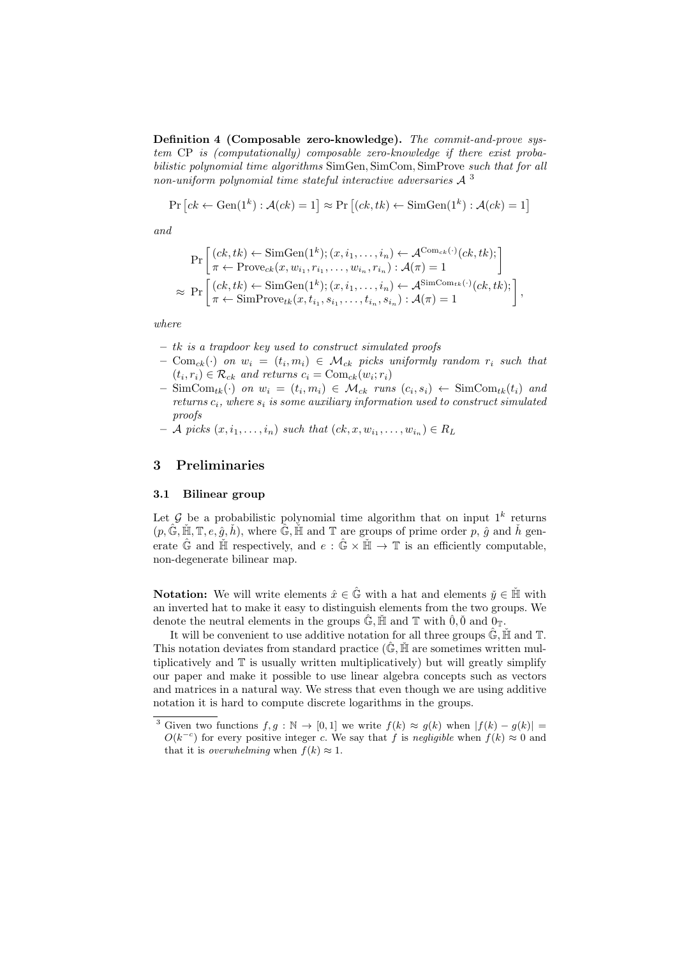Definition 4 (Composable zero-knowledge). The commit-and-prove system CP is (computationally) composable zero-knowledge if there exist probabilistic polynomial time algorithms SimGen, SimCom, SimProve such that for all non-uniform polynomial time stateful interactive adversaries  $A^3$ 

$$
Pr[ck \leftarrow Gen(1^k) : \mathcal{A}(ck) = 1] \approx Pr[(ck, tk) \leftarrow SimGen(1^k) : \mathcal{A}(ck) = 1]
$$

and

$$
\Pr\left[\begin{matrix} (ck, tk) \leftarrow \text{SimGen}(1^k); (x, i_1, \dots, i_n) \leftarrow \mathcal{A}^{\text{Com}_{ck}(\cdot)}(ck, tk); \\ \pi \leftarrow \text{Prove}_{ck}(x, w_{i_1}, r_{i_1}, \dots, w_{i_n}, r_{i_n}) : \mathcal{A}(\pi) = 1 \end{matrix}\right] \right] \approx \Pr\left[\begin{matrix} (ck, tk) \leftarrow \text{SimGen}(1^k); (x, i_1, \dots, i_n) \leftarrow \mathcal{A}^{\text{SimCom}_{tk}(\cdot)}(ck, tk); \\ \pi \leftarrow \text{SimProve}_{tk}(x, t_{i_1}, s_{i_1}, \dots, t_{i_n}, s_{i_n}) : \mathcal{A}(\pi) = 1 \end{matrix}\right],
$$

where

- tk is a trapdoor key used to construct simulated proofs
- $\text{ Com}_{ck}(\cdot)$  on  $w_i = (t_i, m_i) \in \mathcal{M}_{ck}$  picks uniformly random  $r_i$  such that  $(t_i, r_i) \in \mathcal{R}_{ck}$  and returns  $c_i = \text{Com}_{ck}(w_i; r_i)$
- $\text{ SimCom}_{tk}(\cdot)$  on  $w_i = (t_i, m_i) \in \mathcal{M}_{ck}$  runs  $(c_i, s_i) \leftarrow \text{SimCom}_{tk}(t_i)$  and returns  $c_i$ , where  $s_i$  is some auxiliary information used to construct simulated proofs
- $-$  A picks  $(x, i_1, \ldots, i_n)$  such that  $(ck, x, w_{i_1}, \ldots, w_{i_n}) \in R_L$

# 3 Preliminaries

### 3.1 Bilinear group

Let  $\mathcal G$  be a probabilistic polynomial time algorithm that on input  $1^k$  returns  $(p, \hat{\mathbb{G}}, \tilde{\mathbb{H}}, \mathbb{T}, e, \hat{g}, \check{h})$ , where  $\hat{\mathbb{G}}, \check{\mathbb{H}}$  and  $\mathbb{T}$  are groups of prime order p,  $\hat{g}$  and  $\check{h}$  generate  $\hat{\mathbb{G}}$  and  $\check{\mathbb{H}}$  respectively, and  $e : \hat{\mathbb{G}} \times \check{\mathbb{H}} \to \mathbb{T}$  is an efficiently computable, non-degenerate bilinear map.

**Notation:** We will write elements  $\hat{x} \in \hat{\mathbb{G}}$  with a hat and elements  $\check{y} \in \check{\mathbb{H}}$  with an inverted hat to make it easy to distinguish elements from the two groups. We denote the neutral elements in the groups  $\mathbb{G}$ ,  $\mathbb{H}$  and  $\mathbb{T}$  with  $\hat{0}, \check{0}$  and  $0_{\mathbb{T}}$ .

It will be convenient to use additive notation for all three groups  $\hat{\mathbb{G}}$ ,  $\hat{\mathbb{H}}$  and  $\mathbb{T}$ . This notation deviates from standard practice  $(\mathbb{G}, \mathbb{H})$  are sometimes written multiplicatively and T is usually written multiplicatively) but will greatly simplify our paper and make it possible to use linear algebra concepts such as vectors and matrices in a natural way. We stress that even though we are using additive notation it is hard to compute discrete logarithms in the groups.

<sup>&</sup>lt;sup>3</sup> Given two functions  $f, g : \mathbb{N} \to [0, 1]$  we write  $f(k) \approx g(k)$  when  $|f(k) - g(k)| =$  $O(k^{-c})$  for every positive integer c. We say that f is negligible when  $f(k) \approx 0$  and that it is *overwhelming* when  $f(k) \approx 1$ .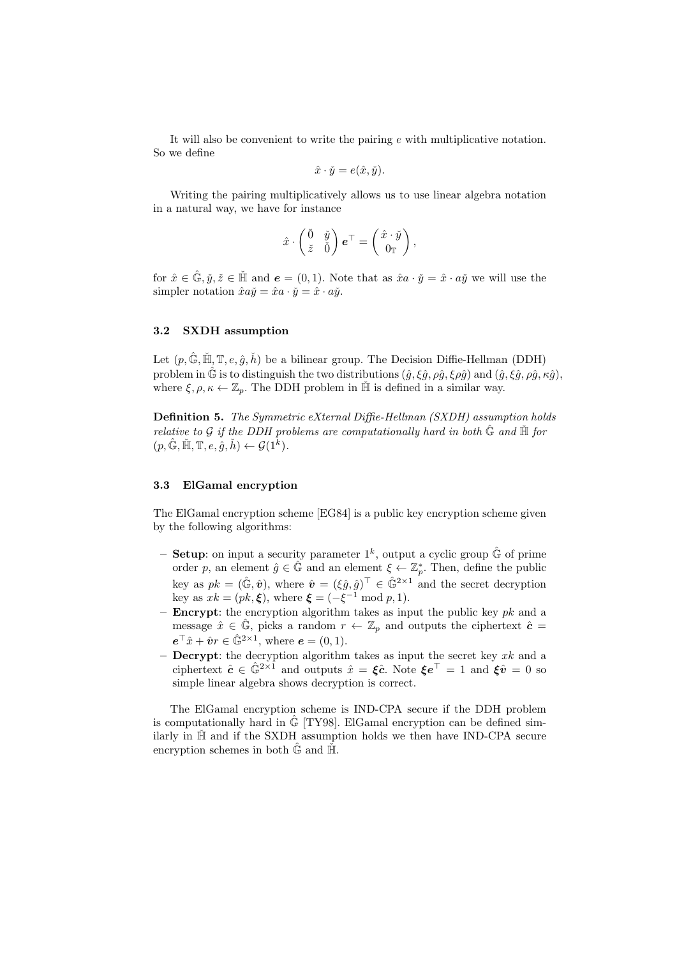It will also be convenient to write the pairing e with multiplicative notation. So we define

$$
\hat{x} \cdot \check{y} = e(\hat{x}, \check{y}).
$$

Writing the pairing multiplicatively allows us to use linear algebra notation in a natural way, we have for instance

$$
\hat{x}\cdot\begin{pmatrix}\check{0}&\check{y}\\\check{z}&\check{0}\end{pmatrix}\boldsymbol{e}^\top=\begin{pmatrix}\hat{x}\cdot\check{y}\\\mathbf{0}_\mathbb{T}\end{pmatrix},
$$

for  $\hat{x} \in \mathbb{G}, \check{y}, \check{z} \in \mathbb{H}$  and  $\mathbf{e} = (0, 1)$ . Note that as  $\hat{x}a \cdot \check{y} = \hat{x} \cdot a\check{y}$  we will use the simpler notation  $\hat{x}a\check{y} = \hat{x}a \cdot \check{y} = \hat{x} \cdot a\check{y}$ .

### 3.2 SXDH assumption

Let  $(p, \hat{\mathbb{G}}, \tilde{\mathbb{H}}, \mathbb{T}, e, \hat{g}, \check{h})$  be a bilinear group. The Decision Diffie-Hellman (DDH) problem in  $\hat{G}$  is to distinguish the two distributions  $(\hat{g}, \xi \hat{g}, \rho \hat{g}, \xi \rho \hat{g})$  and  $(\hat{g}, \xi \hat{g}, \rho \hat{g}, \kappa \hat{g})$ , where  $\xi, \rho, \kappa \leftarrow \mathbb{Z}_p$ . The DDH problem in  $\check{\mathbb{H}}$  is defined in a similar way.

Definition 5. The Symmetric eXternal Diffie-Hellman (SXDH) assumption holds relative to G if the DDH problems are computationally hard in both  $\hat{G}$  and  $\check{H}$  for  $(p, \hat{\mathbb{G}}, \tilde{\mathbb{H}}, \mathbb{T}, e, \overset{\circ}{g}, \overset{\circ}{h}) \leftarrow \mathcal{G}(1^{\overset{\circ}{k}}).$ 

### 3.3 ElGamal encryption

The ElGamal encryption scheme [EG84] is a public key encryption scheme given by the following algorithms:

- **Setup**: on input a security parameter  $1^k$ , output a cyclic group  $\hat{\mathbb{G}}$  of prime order p, an element  $\hat{g} \in \hat{\mathbb{G}}$  and an element  $\xi \leftarrow \mathbb{Z}_p^*$ . Then, define the public key as  $pk = (\hat{\mathbb{G}}, \hat{\mathbf{v}})$ , where  $\hat{\mathbf{v}} = (\xi \hat{g}, \hat{g})^\top \in \hat{\mathbb{G}}^{2 \times 1}$  and the secret decryption key as  $xk = (pk, \xi)$ , where  $\xi = (-\xi^{-1} \mod p, 1)$ .
- **Encrypt:** the encryption algorithm takes as input the public key  $pk$  and a message  $\hat{x} \in \mathbb{G}$ , picks a random  $r \leftarrow \mathbb{Z}_p$  and outputs the ciphertext  $\hat{c} =$  $e^{\top}\hat{x} + \hat{v}r \in \hat{\mathbb{G}}^{2 \times 1}$ , where  $e = (0, 1)$ .
- **Decrypt**: the decryption algorithm takes as input the secret key  $xk$  and a ciphertext  $\hat{c} \in \hat{\mathbb{G}}^{2 \times 1}$  and outputs  $\hat{x} = \hat{\xi} \hat{c}$ . Note  $\hat{\xi} e^{\top} = 1$  and  $\hat{\xi} \hat{v} = 0$  so simple linear algebra shows decryption is correct.

The ElGamal encryption scheme is IND-CPA secure if the DDH problem is computationally hard in  $\hat{\mathbb{G}}$  [TY98]. ElGamal encryption can be defined similarly in  $H^{\dagger}$  and if the SXDH assumption holds we then have IND-CPA secure encryption schemes in both  $\hat{\mathbb{G}}$  and  $\check{\mathbb{H}}$ .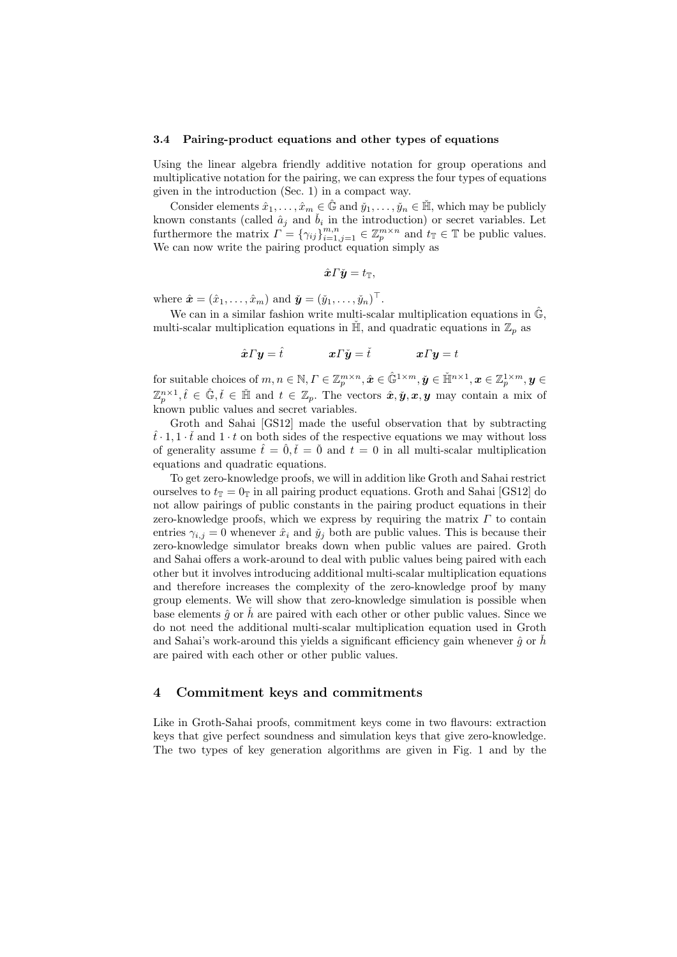#### 3.4 Pairing-product equations and other types of equations

Using the linear algebra friendly additive notation for group operations and multiplicative notation for the pairing, we can express the four types of equations given in the introduction (Sec. 1) in a compact way.

Consider elements  $\hat{x}_1, \ldots, \hat{x}_m \in \hat{\mathbb{G}}$  and  $\check{y}_1, \ldots, \check{y}_n \in \check{\mathbb{H}}$ , which may be publicly known constants (called  $\hat{a}_j$  and  $\check{b}_i$  in the introduction) or secret variables. Let furthermore the matrix  $\Gamma = \{\gamma_{ij}\}_{i=1,j=1}^{m,n} \in \mathbb{Z}_p^{m \times n}$  and  $t_{\mathbb{T}} \in \mathbb{T}$  be public values. We can now write the pairing product equation simply as

$$
\hat{\boldsymbol{x}} \boldsymbol{\varGamma} \check{\boldsymbol{y}} = t_{\mathbb{T}},
$$

where  $\hat{\boldsymbol{x}} = (\hat{x}_1, \dots, \hat{x}_m)$  and  $\check{\boldsymbol{y}} = (\check{y}_1, \dots, \check{y}_n)^\top$ .

We can in a similar fashion write multi-scalar multiplication equations in  $\hat{\mathbb{G}}$ , multi-scalar multiplication equations in  $\mathbb{H}$ , and quadratic equations in  $\mathbb{Z}_p$  as

 $\hat{\mathbf{x}} \Gamma \mathbf{y} = \hat{t}$   $\mathbf{x} \Gamma \check{\mathbf{y}} = \check{t}$   $\mathbf{x} \Gamma \mathbf{y} = t$ 

for suitable choices of  $m, n \in \mathbb{N}, \Gamma \in \mathbb{Z}_p^{m \times n}, \hat{\boldsymbol{x}} \in \hat{\mathbb{G}}^{1 \times m}, \check{\boldsymbol{y}} \in \check{\mathbb{H}}^{n \times 1}, \boldsymbol{x} \in \mathbb{Z}_p^{1 \times m}, \boldsymbol{y} \in$  $(\mathbb{Z}_p^{n\times 1},\hat{t}\in\hat{\mathbb{G}},\check{t}\in\check{\mathbb{H}})$  and  $t\in\mathbb{Z}_p$ . The vectors  $\hat{\boldsymbol{x}},\check{\boldsymbol{y}},\boldsymbol{x},\boldsymbol{y}$  may contain a mix of known public values and secret variables.

Groth and Sahai [GS12] made the useful observation that by subtracting  $\hat{t} \cdot 1, 1 \cdot \check{t}$  and  $1 \cdot t$  on both sides of the respective equations we may without loss of generality assume  $\hat{t} = \hat{0}, \hat{t} = \hat{0}$  and  $t = 0$  in all multi-scalar multiplication equations and quadratic equations.

To get zero-knowledge proofs, we will in addition like Groth and Sahai restrict ourselves to  $t_{\mathbb{T}} = 0_{\mathbb{T}}$  in all pairing product equations. Groth and Sahai [GS12] do not allow pairings of public constants in the pairing product equations in their zero-knowledge proofs, which we express by requiring the matrix  $\Gamma$  to contain entries  $\gamma_{i,j} = 0$  whenever  $\hat{x}_i$  and  $\check{y}_j$  both are public values. This is because their zero-knowledge simulator breaks down when public values are paired. Groth and Sahai offers a work-around to deal with public values being paired with each other but it involves introducing additional multi-scalar multiplication equations and therefore increases the complexity of the zero-knowledge proof by many group elements. We will show that zero-knowledge simulation is possible when base elements  $\hat{g}$  or  $\hat{h}$  are paired with each other or other public values. Since we do not need the additional multi-scalar multiplication equation used in Groth and Sahai's work-around this yields a significant efficiency gain whenever  $\hat{q}$  or  $\hat{h}$ are paired with each other or other public values.

# 4 Commitment keys and commitments

Like in Groth-Sahai proofs, commitment keys come in two flavours: extraction keys that give perfect soundness and simulation keys that give zero-knowledge. The two types of key generation algorithms are given in Fig. 1 and by the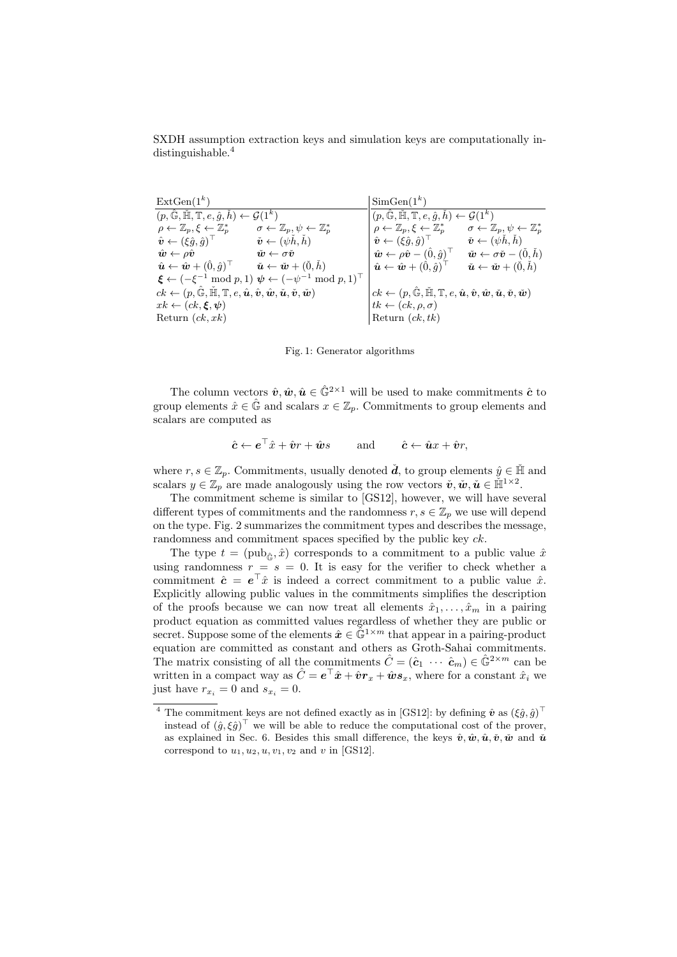SXDH assumption extraction keys and simulation keys are computationally indistinguishable.<sup>4</sup>

 $\text{ExtGen}(1^k)$  $(p, \hat{\mathbb{G}}, \check{\mathbb{H}}, \mathbb{T}, e, \hat{g}, \check{h}) \leftarrow \mathcal{G}(1^k)$  $\rho \leftarrow \mathbb{Z}_p, \xi \leftarrow \mathbb{Z}_p^*$  $\sigma \leftarrow \mathbb{Z}_p, \psi \leftarrow \mathbb{Z}_p^*$  $\hat{\bm{v}} \leftarrow (\xi \hat{g}, \hat{g})$  $\check{\boldsymbol{v}} \leftarrow (\psi \check{h}, \check{h})$  $\hat{\bm{w}} \leftarrow \rho \hat{\bm{v}} \qquad \qquad \check{\bm{w}} \leftarrow \sigma \check{\bm{v}}$  $\hat{\boldsymbol{u}} \leftarrow \hat{\boldsymbol{w}} + (\hat{0}, \hat{g})^\top$  $\check{\boldsymbol u} \leftarrow \check{\boldsymbol w} + (\check{0}, \check{h})$  $\boldsymbol{\xi} \leftarrow (-\xi^{-1} \bmod p, 1) \ \boldsymbol{\psi} \leftarrow (-\psi^{-1} \bmod p, 1)^\top$  $ck \leftarrow (p, \hat{\mathbb{G}}, \tilde{\mathbb{H}}, \mathbb{T}, e, \hat{\boldsymbol{u}}, \hat{\boldsymbol{v}}, \hat{\boldsymbol{w}}, \check{\boldsymbol{u}}, \check{\boldsymbol{v}}, \check{\boldsymbol{w}})$  $xk \leftarrow (ck, \boldsymbol{\xi}, \boldsymbol{\psi})$ Return  $(ck, xk)$  $SimGen(1^k)$  $(p, \hat{\mathbb{G}}, \check{\mathbb{H}}, \mathbb{T}, e, \hat{g}, \check{h}) \leftarrow \mathcal{G}(1^k)$  $\rho \leftarrow \mathbb{Z}_p, \xi \leftarrow \mathbb{Z}_p^*$  $\sigma_{p}^*$  +  $\sigma \leftarrow \mathbb{Z}_p, \psi \leftarrow \mathbb{Z}_p^*$  $\hat{\bm{v}} \leftarrow (\xi \hat{g}, \hat{g})$  $\check{\boldsymbol{v}} \leftarrow (\psi \check{h}, \check{h})$  $\hat{\boldsymbol{w}} \leftarrow \rho \hat{\boldsymbol{v}} - (\hat{0}, \hat{g})^\top$  $\boldsymbol{\check{w}} \leftarrow \sigma \boldsymbol{\check{v}} - (\v 0, \v h)$  $\hat{\boldsymbol{u}} \leftarrow \hat{\boldsymbol{w}} + (\hat{0}, \hat{g})^{\top}$  $\check{\boldsymbol{u}} \leftarrow \check{\boldsymbol{w}} + (\check{0}, \check{h})$  $ck \leftarrow (p, \hat{\mathbb{G}}, \tilde{\mathbb{H}}, \mathbb{T}, e, \hat{\boldsymbol{u}}, \hat{\boldsymbol{v}}, \hat{\boldsymbol{w}}, \tilde{\boldsymbol{u}}, \tilde{\boldsymbol{v}}, \tilde{\boldsymbol{w}})$  $tk \leftarrow (ck, \rho, \sigma)$ Return  $(ck, tk)$ 

Fig. 1: Generator algorithms

The column vectors  $\hat{v}, \hat{w}, \hat{u} \in \hat{\mathbb{G}}^{2 \times 1}$  will be used to make commitments  $\hat{c}$  to group elements  $\hat{x} \in \hat{\mathbb{G}}$  and scalars  $x \in \mathbb{Z}_p$ . Commitments to group elements and scalars are computed as

$$
\hat{\mathbf{c}} \leftarrow \mathbf{e}^\top \hat{x} + \hat{\mathbf{v}}r + \hat{\mathbf{w}}s \quad \text{and} \quad \hat{\mathbf{c}} \leftarrow \hat{\mathbf{u}}x + \hat{\mathbf{v}}r,
$$

where  $r, s \in \mathbb{Z}_n$ . Commitments, usually denoted  $\check{d}$ , to group elements  $\hat{y} \in \check{\mathbb{H}}$  and scalars  $y \in \mathbb{Z}_p$  are made analogously using the row vectors  $\check{\boldsymbol{v}}, \check{\boldsymbol{w}}, \check{\boldsymbol{u}} \in \check{\mathbb{H}}^{1 \times 2}$ .

The commitment scheme is similar to [GS12], however, we will have several different types of commitments and the randomness  $r, s \in \mathbb{Z}_p$  we use will depend on the type. Fig. 2 summarizes the commitment types and describes the message, randomness and commitment spaces specified by the public key  $ck$ .

The type  $t = (pub_{\hat{\alpha}}, \hat{x})$  corresponds to a commitment to a public value  $\hat{x}$ using randomness  $r = s = 0$ . It is easy for the verifier to check whether a commitment  $\hat{c} = e^{\top}\hat{x}$  is indeed a correct commitment to a public value  $\hat{x}$ . Explicitly allowing public values in the commitments simplifies the description of the proofs because we can now treat all elements  $\hat{x}_1, \ldots, \hat{x}_m$  in a pairing product equation as committed values regardless of whether they are public or secret. Suppose some of the elements  $\hat{x} \in \hat{\mathbb{G}}^{1 \times m}$  that appear in a pairing-product equation are committed as constant and others as Groth-Sahai commitments. The matrix consisting of all the commitments  $\hat{C} = (\hat{c}_1 \cdots \hat{c}_m) \in \hat{\mathbb{G}}^{2 \times m}$  can be written in a compact way as  $\hat{C} = e^{\top}\hat{x} + \hat{v}r_x + \hat{w}s_x$ , where for a constant  $\hat{x}_i$  we just have  $r_{x_i} = 0$  and  $s_{x_i} = 0$ .

<sup>&</sup>lt;sup>4</sup> The commitment keys are not defined exactly as in [GS12]: by defining  $\hat{\boldsymbol{v}}$  as  $(\xi \hat{g}, \hat{g})^{\top}$ instead of  $(\hat{g}, \xi \hat{g})^{\top}$  we will be able to reduce the computational cost of the prover, as explained in Sec. 6. Besides this small difference, the keys  $\hat{v}, \hat{w}, \hat{u}, \check{v}, \check{w}$  and  $\check{u}$ correspond to  $u_1, u_2, u, v_1, v_2$  and v in [GS12].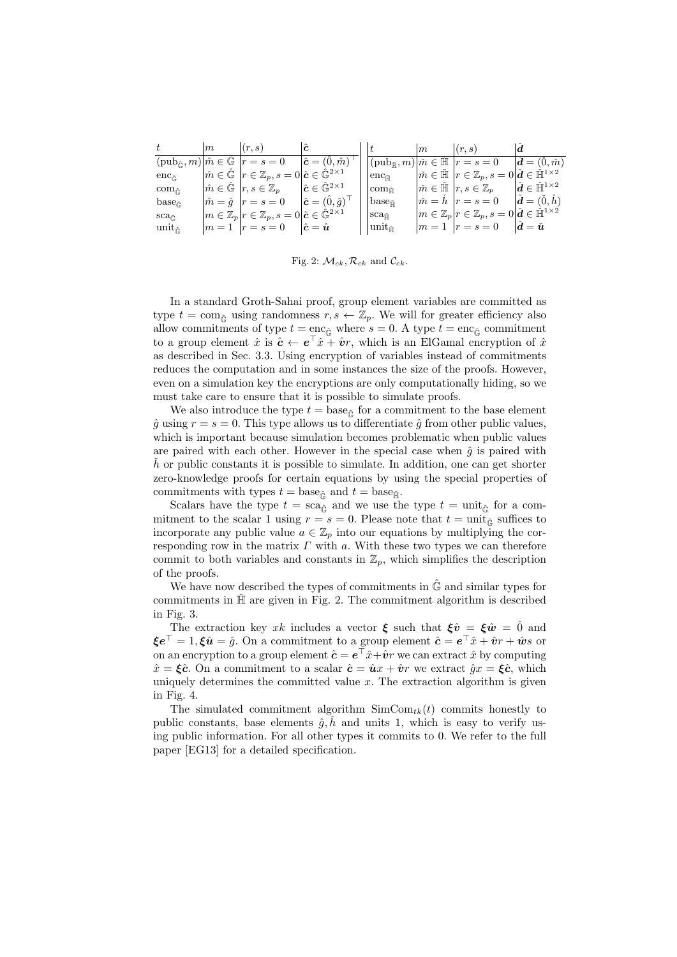|                              | m | (r, s)                                                                                                     | $ \hat{\bm{c}} $                                         |                            | m | (r, s)                                                                                                  | Id                                                   |
|------------------------------|---|------------------------------------------------------------------------------------------------------------|----------------------------------------------------------|----------------------------|---|---------------------------------------------------------------------------------------------------------|------------------------------------------------------|
|                              |   | $(\text{pub}_{\hat{\mathbb{G}}}, m)   \hat{m} \in \hat{\mathbb{G}}   r = s = 0$                            | $\hat{\mathbf{c}} = (\vec{0}, \hat{m})$                  |                            |   | $(\text{pub}_{\tilde{\mathfrak{m}}},m) \tilde{m}\in\mathbb{\tilde{H}} _{r=s=0$                          | $\boldsymbol{d} = (\dot{0}, \check{m})$              |
| $enc_{\hat{\mathbb{C}}}$     |   | $ \hat{m} \in \mathbb{G}   r \in \mathbb{Z}_p, s = 0   \hat{\mathbf{c}} \in \mathbb{\hat{G}}^{2 \times 1}$ |                                                          | $enc_{\tilde{\mathbb{H}}}$ |   | $ \check{m} \in \mathbb{H}   r \in \mathbb{Z}_p, s = 0   \check{d} \in \mathbb{H}^{1 \times 2}$         |                                                      |
| $com_{\hat{\mathbb{C}}}$     |   | $m \in \mathbb{G}$ $r, s \in \mathbb{Z}_p$                                                                 | $\hat{\boldsymbol{c}} \in \hat{\mathbb{G}}^{2 \times 1}$ | $com_{\tilde{\mathbb{H}}}$ |   | $\tilde{m} \in \mathbb{H}$ $ r, s \in \mathbb{Z}_p$                                                     | $\check{\bm{d}} \in \check{\mathbb{H}}^{1 \times 2}$ |
| $base_{\hat{\mathbb{C}}}$    |   | $ \hat{m} = \hat{g}   r = s = 0$                                                                           | $\hat{\mathbf{c}} = (\hat{0}, \hat{g})^{\top}$           | base $_{\text{m}}$         |   | $\tilde{m} = h \ \vert r = s = 0$                                                                       | $\check{d} = (\check{0}, h)$                         |
| $\rm sca_{\hat{\mathbb{C}}}$ |   | $ m \in \mathbb{Z}_p r \in \mathbb{Z}_p, s=0 \hat{\boldsymbol{c}} \in \hat{\mathbb{G}}^{2 \times 1} $      |                                                          | $\rm sca_{\tilde{\rm HI}}$ |   | $ m \in \mathbb{Z}_p r \in \mathbb{Z}_p, s=0 \check{\boldsymbol{d}} \in \check{\mathbb{H}}^{1\times 2}$ |                                                      |
| unit $_{\hat{\mathbb{G}}}$   |   | $ m=1 $ $ r=s=0 $ $ \hat{c}=\hat{u} $                                                                      |                                                          | $unit_{\tilde{m}}$         |   | $ m=1 $ $ r=s=0$                                                                                        | $\boldsymbol{d}=\check{\boldsymbol{u}}$              |

Fig. 2:  $\mathcal{M}_{ck}, \mathcal{R}_{ck}$  and  $\mathcal{C}_{ck}$ .

In a standard Groth-Sahai proof, group element variables are committed as type  $t = \text{com}_{\hat{\mathbb{G}}}$  using randomness  $r, s \leftarrow \mathbb{Z}_p$ . We will for greater efficiency also allow commitments of type  $t = \text{enc}_{\hat{G}}$  where  $s = 0$ . A type  $t = \text{enc}_{\hat{G}}$  commitment to a group element  $\hat{x}$  is  $\hat{c} \leftarrow e^{\top} \hat{x} + \hat{v}r$ , which is an ElGamal encryption of  $\hat{x}$ as described in Sec. 3.3. Using encryption of variables instead of commitments reduces the computation and in some instances the size of the proofs. However, even on a simulation key the encryptions are only computationally hiding, so we must take care to ensure that it is possible to simulate proofs.

We also introduce the type  $t = \text{base}_{\hat{\mathbb{G}}}$  for a commitment to the base element  $\hat{g}$  using  $r = s = 0$ . This type allows us to differentiate  $\hat{g}$  from other public values, which is important because simulation becomes problematic when public values are paired with each other. However in the special case when  $\hat{g}$  is paired with  $h$  or public constants it is possible to simulate. In addition, one can get shorter zero-knowledge proofs for certain equations by using the special properties of commitments with types  $t = \text{base}_{\hat{\mathbb{F}}}$  and  $t = \text{base}_{\hat{\mathbb{H}}}$ .

Scalars have the type  $t = sca_{\hat{G}}$  and we use the type  $t = \text{unit}_{\hat{G}}$  for a commitment to the scalar 1 using  $r = s = 0$ . Please note that  $t = \text{unit}_{\hat{c}}$  suffices to incorporate any public value  $a \in \mathbb{Z}_p$  into our equations by multiplying the corresponding row in the matrix  $\Gamma$  with  $a$ . With these two types we can therefore commit to both variables and constants in  $\mathbb{Z}_p$ , which simplifies the description of the proofs.

We have now described the types of commitments in  $\hat{G}$  and similar types for commitments in  $\tilde{\mathbb{H}}$  are given in Fig. 2. The commitment algorithm is described in Fig. 3.

The extraction key xk includes a vector  $\xi$  such that  $\xi \hat{v} = \xi \hat{w} = \hat{0}$  and  ${\bm \xi} \bm e^\top = 1, {\bm \xi} \hat{\bm u} = \hat{g}.$  On a commitment to a group element  $\hat{\bm c} = \bm e^\top \hat{x} + \hat{\bm v} r + \hat{\bm w} s$  or on an encryption to a group element  $\hat{\boldsymbol{c}} = \boldsymbol{e}^\top \hat{x} + \hat{\boldsymbol{v}} r$  we can extract  $\hat{x}$  by computing  $\hat{x} = \xi \hat{c}$ . On a commitment to a scalar  $\hat{c} = \hat{u}x + \hat{v}r$  we extract  $\hat{g}x = \xi \hat{c}$ , which uniquely determines the committed value  $x$ . The extraction algorithm is given in Fig. 4.

The simulated commitment algorithm  $SimCom_{tk}(t)$  commits honestly to public constants, base elements  $\hat{g}, \check{h}$  and units 1, which is easy to verify using public information. For all other types it commits to 0. We refer to the full paper [EG13] for a detailed specification.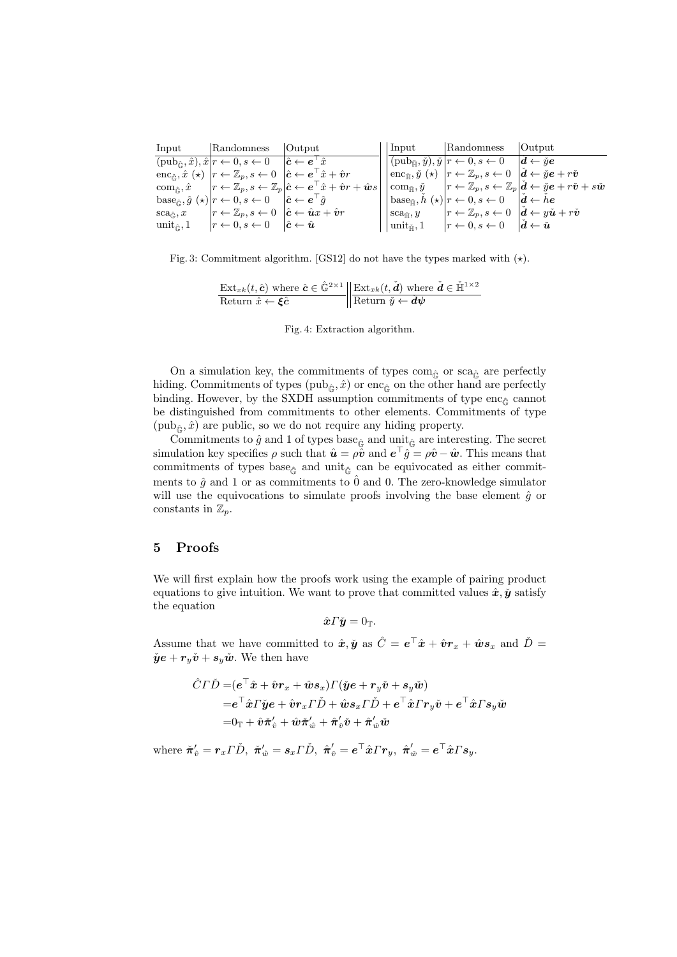| Input                             | Randomness                                                                                                                                                                                   | Output                                                                                                                                                                                                                               | Input                                  | Randomness Output                                                                                                                                                     |                                                                                                                                                                                                         |
|-----------------------------------|----------------------------------------------------------------------------------------------------------------------------------------------------------------------------------------------|--------------------------------------------------------------------------------------------------------------------------------------------------------------------------------------------------------------------------------------|----------------------------------------|-----------------------------------------------------------------------------------------------------------------------------------------------------------------------|---------------------------------------------------------------------------------------------------------------------------------------------------------------------------------------------------------|
|                                   | $(\text{pub}_{\hat{\alpha}}, \hat{x}), \hat{x} r \leftarrow 0, s \leftarrow 0 \quad  \hat{c} \leftarrow e^{\top} \hat{x} $                                                                   |                                                                                                                                                                                                                                      |                                        | $ (pub_{\tilde{\mathbb{H}}}, \tilde{y}), \tilde{y} r \leftarrow 0, s \leftarrow 0 \quad  \tilde{d} \leftarrow \tilde{y}\tilde{e} $                                    |                                                                                                                                                                                                         |
|                                   | $\text{enc}_{\hat{\mathbb{G}}}, \hat{x} \ (\star) \  r \leftarrow \mathbb{Z}_p, s \leftarrow 0 \  \hat{\mathbf{c}} \leftarrow \mathbf{e}^\top \hat{x} + \hat{\mathbf{v}} \mathbf{r} \right]$ |                                                                                                                                                                                                                                      |                                        | $ \text{enc}_{\tilde{\mathbb{H}}}, \tilde{y}(\star) _r \leftarrow \mathbb{Z}_p, s \leftarrow 0 \quad  \check{d} \leftarrow \check{y}\mathbf{e} + r\check{\mathbf{v}}$ |                                                                                                                                                                                                         |
|                                   |                                                                                                                                                                                              | $\operatorname{com}_{\hat{\mathbb{G}}}, \hat{x} \quad  r \leftarrow \mathbb{Z}_p, s \leftarrow \mathbb{Z}_p   \hat{\boldsymbol{c}} \leftarrow \boldsymbol{e}^\top \hat{x} + \hat{\boldsymbol{v}} \, r + \hat{\boldsymbol{w}} \, s  $ |                                        |                                                                                                                                                                       | $\vert \operatorname{com}_{\check{\mathbb{H}}},\check{y} \quad \vert r\leftarrow \mathbb{Z}_p, s\leftarrow \mathbb{Z}_p\vert \check{\bm{d}} \leftarrow \check{y}\bm{e}+r\check{\bm{v}}+s\check{\bm{w}}$ |
|                                   | $\operatorname{base}_{\hat{\mathbb{C}}}, \hat{g}(\star)   r \leftarrow 0, s \leftarrow 0 \quad  \hat{\boldsymbol{c}} \leftarrow \boldsymbol{e}^\top \hat{g} $                                |                                                                                                                                                                                                                                      |                                        | $ \text{base}_{\tilde{\mathbb{H}}}, \tilde{h}(\star) r \leftarrow 0, s \leftarrow 0 \quad  \tilde{\boldsymbol{d}} \leftarrow \tilde{h}\boldsymbol{e} $                |                                                                                                                                                                                                         |
| $\mathrm{sca}_{\hat\mathbb{C}},x$ | $ r \leftarrow \mathbb{Z}_p, s \leftarrow 0 \ \  \hat{\boldsymbol{c}} \leftarrow \hat{\boldsymbol{u}} \mathbf{x} + \hat{\boldsymbol{v}} \mathbf{r} \right\ $                                 |                                                                                                                                                                                                                                      | $\mathrm{sca}_{\check{\mathbb{H}}}, y$ | $ r \leftarrow \mathbb{Z}_p, s \leftarrow 0 \mid \check{d} \leftarrow y\check{u} + r\check{v}$                                                                        |                                                                                                                                                                                                         |
|                                   | unit <sub>ê</sub> , 1 $ r \leftarrow 0, s \leftarrow 0$ $ \hat{c} \leftarrow \hat{u} $                                                                                                       |                                                                                                                                                                                                                                      |                                        | $ \text{unit}_{\tilde{\mathbb{H}}}, 1  \quad  r \leftarrow 0, s \leftarrow 0 \quad  \check{d} \leftarrow \check{u}$                                                   |                                                                                                                                                                                                         |

Fig. 3: Commitment algorithm. [GS12] do not have the types marked with  $(\star)$ .

$$
\frac{\text{Ext}_{xk}(t, \hat{\mathbf{c}}) \text{ where } \hat{\mathbf{c}} \in \hat{\mathbb{G}}^{2 \times 1}}{\text{Return } \hat{x} \leftarrow \hat{\mathbf{c}} \mathbf{c}} \left\| \frac{\text{Ext}_{xk}(t, \check{\mathbf{d}}) \text{ where } \check{\mathbf{d}} \in \check{\mathbb{H}}^{1 \times 2}}{\text{Return } \check{y} \leftarrow \check{\mathbf{d}} \psi} \right\|
$$

Fig. 4: Extraction algorithm.

On a simulation key, the commitments of types com $_{\hat{G}}$  or sca $_{\hat{G}}$  are perfectly hiding. Commitments of types (pub<sub>ê</sub>,  $\hat{x}$ ) or enc<sub>ê</sub> on the other hand are perfectly binding. However, by the SXDH assumption commitments of type enc<sub> $\hat{\epsilon}$ </sub> cannot be distinguished from commitments to other elements. Commitments of type  $(\text{pub}_{\hat{\mathbb{G}}}, \hat{x})$  are public, so we do not require any hiding property.

Commitments to  $\hat{g}$  and 1 of types base $_{\hat{\mathbb{G}}}$  and unit<sub> $\hat{\mathbb{G}}$ </sub> are interesting. The secret simulation key specifies  $\rho$  such that  $\hat{\mathbf{u}} = \rho \hat{\mathbf{v}}$  and  $\mathbf{e}^\top \hat{g} = \rho \hat{\mathbf{v}} - \hat{\mathbf{w}}$ . This means that commitments of types base<sub> $\hat{\epsilon}$ </sub> and unit<sub> $\hat{\epsilon}$ </sub> can be equivocated as either commitments to  $\hat{g}$  and 1 or as commitments to  $\hat{0}$  and 0. The zero-knowledge simulator will use the equivocations to simulate proofs involving the base element  $\hat{g}$  or constants in  $\mathbb{Z}_p$ .

# 5 Proofs

We will first explain how the proofs work using the example of pairing product equations to give intuition. We want to prove that committed values  $\hat{x}, \check{y}$  satisfy the equation

$$
\hat{\boldsymbol{x}} \boldsymbol{\varGamma} \check{\boldsymbol{y}} = 0_{\mathbb{T}}.
$$

Assume that we have committed to  $\hat{x}, \check{y}$  as  $\hat{C} = e^{\top}\hat{x} + \hat{v}r_x + \hat{w}s_x$  and  $\check{D} =$  $\check{\mathbf{y}}\mathbf{e} + \mathbf{r}_y\check{\mathbf{v}} + \mathbf{s}_y\check{\mathbf{w}}$ . We then have

$$
\begin{aligned} \hat{C}\Gamma\check{D}=&(e^{\top}\hat{\boldsymbol{x}}+\hat{\boldsymbol{v}}\boldsymbol{r}_x+\hat{\boldsymbol{w}}\boldsymbol{s}_x)\Gamma(\check{\boldsymbol{y}}e+\boldsymbol{r}_y\check{\boldsymbol{v}}+\boldsymbol{s}_y\check{\boldsymbol{w}})\\ =&e^{\top}\hat{\boldsymbol{x}}\Gamma\check{\boldsymbol{y}}e+\hat{\boldsymbol{v}}\boldsymbol{r}_x\Gamma\check{D}+\hat{\boldsymbol{w}}\boldsymbol{s}_x\Gamma\check{D}+e^{\top}\hat{\boldsymbol{x}}\Gamma\boldsymbol{r}_y\check{\boldsymbol{v}}+e^{\top}\hat{\boldsymbol{x}}\Gamma\boldsymbol{s}_y\check{\boldsymbol{w}}\\ =&0_{\mathbb{T}}+\hat{\boldsymbol{v}}\check{\boldsymbol{\pi}}_v'+\hat{\boldsymbol{w}}\check{\boldsymbol{\pi}}_w'+\hat{\boldsymbol{\pi}}_v'\check{\boldsymbol{v}}+\hat{\boldsymbol{\pi}}_w'\check{\boldsymbol{w}} \end{aligned}
$$

 $\begin{aligned} \text{where }\bm{\check{\pi}}_{{\hat{v}}}^{\prime}=\bm{r}_x\bm{\varGamma}\check{D}, \ \bm{\check{\pi}}_{{\hat{w}}}^{\prime}=\bm{s}_x\bm{\varGamma}\check{D}, \ \bm{\hat{\pi}}_{{\hat{v}}}^{\prime}=\bm{e}^{\top}\hat{\bm{x}}\bm{\varGamma}\bm{r}_y, \ \bm{\hat{\pi}}_{{\hat{w}}}^{\prime}=\bm{e}^{\top}\hat{\bm{x}}\bm{\varGamma}\bm{s}_y. \end{aligned}$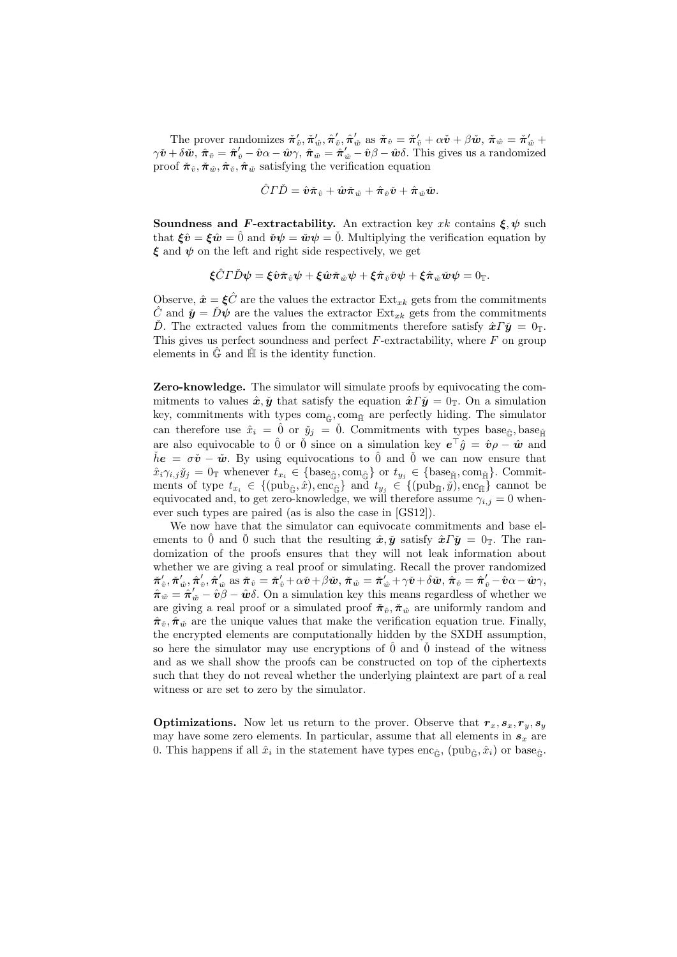The prover randomizes  $\pi'_{\hat{v}}, \pi'_{\hat{w}}, \hat{\pi}'_{\hat{v}}, \hat{\pi}'_{\hat{w}}$  as  $\tilde{\pi}_{\hat{v}} = \tilde{\pi}'_{\hat{v}} + \alpha \tilde{v} + \beta \tilde{w}, \tilde{\pi}_{\hat{w}} = \tilde{\pi}'_{\hat{w}} + \tilde{\pi}'_{\hat{w}}$  $\gamma \check{\boldsymbol{v}} + \delta \check{\boldsymbol{w}}, \ \hat{\boldsymbol{\pi}}_{\check{v}} = \hat{\boldsymbol{\pi}}'_{\check{v}} - \hat{\boldsymbol{v}} \alpha - \hat{\boldsymbol{w}} \gamma, \ \hat{\boldsymbol{\pi}}_{\check{w}} = \hat{\boldsymbol{\pi}}'_{\check{w}} - \hat{\boldsymbol{v}} \beta - \hat{\boldsymbol{w}} \delta.$  This gives us a randomized proof  $\check{\pi}_{\hat{v}}, \check{\pi}_{\hat{w}}, \hat{\pi}_{\check{v}}, \hat{\pi}_{\check{w}}$  satisfying the verification equation

$$
\hat{C}\Gamma\check{D}=\hat{\bm{v}}\check{\bm{\pi}}_{\hat{v}}+\hat{\bm{w}}\check{\bm{\pi}}_{\hat{w}}+\hat{\bm{\pi}}_{\check{v}}\check{\bm{v}}+\hat{\bm{\pi}}_{\check{w}}\check{\bm{w}}.
$$

Soundness and F-extractability. An extraction key xk contains  $\xi, \psi$  such that  $\boldsymbol{\xi}\hat{\boldsymbol{v}} = \boldsymbol{\xi}\hat{\boldsymbol{w}} = \hat{0}$  and  $\boldsymbol{\check{v}}\psi = \boldsymbol{\check{w}}\psi = \boldsymbol{\check{0}}$ . Multiplying the verification equation by  $\xi$  and  $\psi$  on the left and right side respectively, we get

$$
\boldsymbol{\xi} \hat{C} \boldsymbol{\varGamma} \check{D} \boldsymbol{\psi} = \boldsymbol{\xi} \hat{\boldsymbol{v}} \check{\boldsymbol{\pi}}_{\hat{v}} \boldsymbol{\psi} + \boldsymbol{\xi} \hat{\boldsymbol{w}} \check{\boldsymbol{\pi}}_{\hat{w}} \boldsymbol{\psi} + \boldsymbol{\xi} \hat{\boldsymbol{\pi}}_{\check{v}} \check{\boldsymbol{v}} \boldsymbol{\psi} + \boldsymbol{\xi} \hat{\boldsymbol{\pi}}_{\check{w}} \check{\boldsymbol{w}} \boldsymbol{\psi} = 0_{\mathbb{T}}.
$$

Observe,  $\hat{\mathbf{x}} = \xi \hat{C}$  are the values the extractor  $\text{Ext}_{xk}$  gets from the commitments  $\tilde{C}$  and  $\tilde{\mathbf{y}} = D\psi$  are the values the extractor  $\text{Ext}_{xk}$  gets from the commitments D. The extracted values from the commitments therefore satisfy  $\hat{x}\Gamma\check{y} = 0$ <sub>T</sub>. This gives us perfect soundness and perfect  $F$ -extractability, where  $F$  on group elements in  $\hat{\mathbb{G}}$  and  $\check{\mathbb{H}}$  is the identity function.

Zero-knowledge. The simulator will simulate proofs by equivocating the commitments to values  $\hat{x}, \check{y}$  that satisfy the equation  $\hat{x} \Gamma \check{y} = 0$ . On a simulation key, commitments with types  $com_{\hat{G}}$ , com<sub> $\hat{H}$ </sub> are perfectly hiding. The simulator can therefore use  $\hat{x}_i = \hat{0}$  or  $\check{y}_i = \check{0}$ . Commitments with types base<sub> $\hat{\epsilon}_i$ </sub>, base<sub> $\check{\epsilon}_i$ </sub> are also equivocable to  $\hat{0}$  or  $\check{0}$  since on a simulation key  $e^{\top}\hat{g} = \hat{v}\rho - \hat{w}$  and  $\check{h}e = \sigma\check{v} - \check{w}$ . By using equivocations to  $\hat{0}$  and  $\check{0}$  we can now ensure that  $\hat{x}_i \gamma_{i,j} \check{y}_j = 0_\mathbb{T}$  whenever  $t_{x_i} \in \{\text{base}_{\hat{\mathbb{G}}}, \text{com}_{\hat{\mathbb{G}}}\}$  or  $t_{y_j} \in \{\text{base}_{\hat{\mathbb{H}}}, \text{com}_{\hat{\mathbb{H}}}\}$ . Commitments of type  $t_{x_i} \in \{(\text{pub}_{\hat{\mathbb{G}}}, \hat{x}), \text{enc}_{\hat{\mathbb{G}}}\}\$ and  $t_{y_j} \in \{(\text{pub}_{\hat{\mathbb{H}}}, \hat{y}), \text{enc}_{\hat{\mathbb{H}}}\}\$ cannot be equivocated and, to get zero-knowledge, we will therefore assume  $\gamma_{i,j} = 0$  whenever such types are paired (as is also the case in [GS12]).

We now have that the simulator can equivocate commitments and base elements to  $\hat{0}$  and  $\check{0}$  such that the resulting  $\hat{x}, \check{y}$  satisfy  $\hat{x}\Gamma\check{y} = 0$ <sub>T</sub>. The randomization of the proofs ensures that they will not leak information about whether we are giving a real proof or simulating. Recall the prover randomized  $\check{\boldsymbol{\pi}}'_v, \check{\boldsymbol{\pi}}'_{\hat{w}}, \hat{\boldsymbol{\pi}}'_{\hat{w}} \text{ as } \check{\boldsymbol{\pi}}_{\hat{v}} = \check{\boldsymbol{\pi}}'_{\hat{v}} + \alpha \check{\boldsymbol{v}} + \beta \check{\boldsymbol{w}}, \check{\boldsymbol{\pi}}_{\hat{w}} = \check{\boldsymbol{\pi}}'_{\hat{w}} + \gamma \check{\boldsymbol{v}} + \delta \check{\boldsymbol{w}}, \, \hat{\boldsymbol{\pi}}_{\check{v}} = \hat{\boldsymbol{\pi}}'_{\check{v}} - \hat{\boldsymbol{v}} \alpha - \hat{\boldsymbol{w}} \gamma,$  $\hat{\pi}_{\check{w}} = \hat{\pi}'_{\check{w}} - \hat{v}\check{\beta} - \hat{w}\delta$ . On a simulation key this means regardless of whether we are giving a real proof or a simulated proof  $\dot{\pi}_{\hat{v}}, \dot{\pi}_{\hat{w}}$  are uniformly random and  $\hat{\pi}_{\tilde{v}}$ ,  $\hat{\pi}_{\tilde{w}}$  are the unique values that make the verification equation true. Finally, the encrypted elements are computationally hidden by the SXDH assumption, so here the simulator may use encryptions of  $\hat{0}$  and  $\check{0}$  instead of the witness and as we shall show the proofs can be constructed on top of the ciphertexts such that they do not reveal whether the underlying plaintext are part of a real witness or are set to zero by the simulator.

**Optimizations.** Now let us return to the prover. Observe that  $r_x, s_x, r_y, s_y$ may have some zero elements. In particular, assume that all elements in  $s<sub>x</sub>$  are 0. This happens if all  $\hat{x}_i$  in the statement have types enc<sub> $\hat{G}$ </sub>, (pub<sub> $\hat{G}$ </sub>,  $\hat{x}_i$ ) or base<sub> $\hat{G}$ </sub>.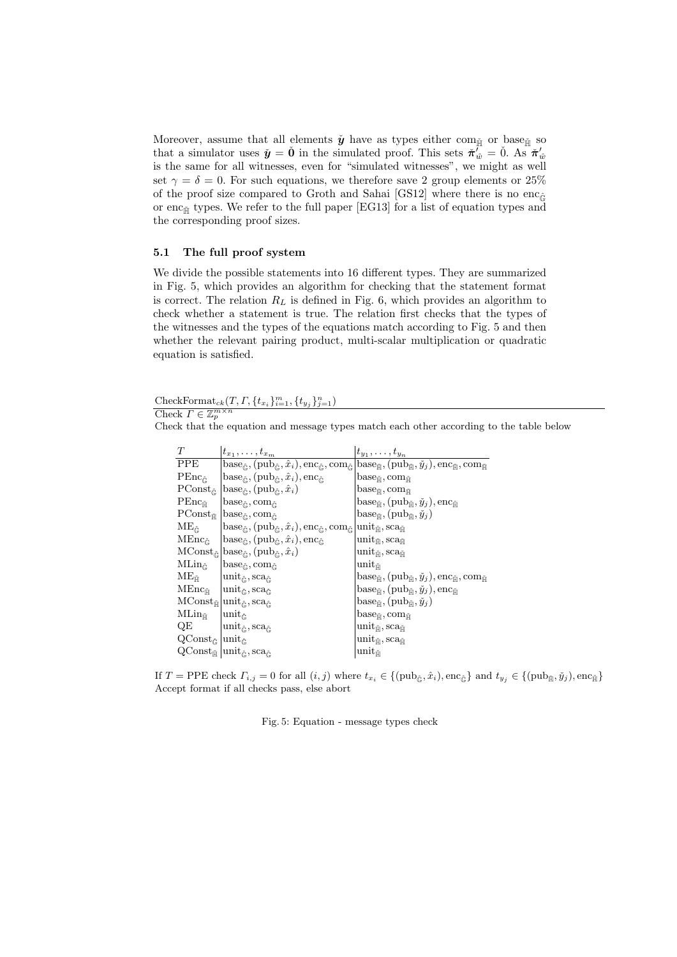Moreover, assume that all elements  $\check{y}$  have as types either com $_{\check{\mathbb{H}}}$  or base $_{\check{\mathbb{H}}}$  so that a simulator uses  $\check{\mathbf{y}} = \check{\mathbf{0}}$  in the simulated proof. This sets  $\check{\pi}'_{\hat{w}} = \check{0}$ . As  $\check{\pi}'_{\hat{w}}$ is the same for all witnesses, even for "simulated witnesses", we might as well set  $\gamma = \delta = 0$ . For such equations, we therefore save 2 group elements or 25% of the proof size compared to Groth and Sahai [GS12] where there is no enc<sub> $\hat{\epsilon}$ </sub> or enc<sub> $H$ </sub> types. We refer to the full paper [EG13] for a list of equation types and the corresponding proof sizes.

### 5.1 The full proof system

We divide the possible statements into 16 different types. They are summarized in Fig. 5, which provides an algorithm for checking that the statement format is correct. The relation  $R_L$  is defined in Fig. 6, which provides an algorithm to check whether a statement is true. The relation first checks that the types of the witnesses and the types of the equations match according to Fig. 5 and then whether the relevant pairing product, multi-scalar multiplication or quadratic equation is satisfied.

 $\text{CheckFormat}_{ck}(T, \Gamma, \{t_{x_i}\}_{i=1}^m, \{t_{y_j}\}_{j=1}^n)$ Check  $\Gamma \in \mathbb{Z}_p^{m \times n}$ 

Check that the equation and message types match each other according to the table below

| T                                                                            | $t_{x_1},\ldots,t_{x_m}$                                                                                                                                                                                                                             | $t_{y_1},\ldots,t_{y_n}$                                                                                                                                                                                                                                                                            |
|------------------------------------------------------------------------------|------------------------------------------------------------------------------------------------------------------------------------------------------------------------------------------------------------------------------------------------------|-----------------------------------------------------------------------------------------------------------------------------------------------------------------------------------------------------------------------------------------------------------------------------------------------------|
| $\overline{PPE}$                                                             |                                                                                                                                                                                                                                                      | $\text{base}_{\hat{\mathbb{G}}}, (\text{pub}_{\hat{\mathbb{G}}}, \hat{x}_i), \text{enc}_{\hat{\mathbb{G}}}, \text{com}_{\hat{\mathbb{G}}}\ket{\text{base}_{\check{\mathbb{H}}}, (\text{pub}_{\check{\mathbb{H}}}, \check{y}_j), \text{enc}_{\check{\mathbb{H}}}, \text{com}_{\check{\mathbb{H}}} }$ |
| $\text{PEnc}_{\hat{\mathbb{G}}}$                                             | base $_{\hat{\mathbb{G}}}, (\text{pub}_{\hat{\mathbb{G}}}, \hat{x}_i), \text{enc}_{\hat{\mathbb{G}}}$                                                                                                                                                | base <sub>Ěl</sub> , com <sub>Ěl</sub>                                                                                                                                                                                                                                                              |
| $\mathrm{PConst}_{\hat{\mathbb{G}}}$                                         | $\operatorname{base}_{\hat{\mathbb{G}}}, (\operatorname{pub}_{\hat{\mathbb{G}}}, \hat{x}_i)$                                                                                                                                                         | base $_{\tilde{\mathbb{H}}}$ , com $_{\tilde{\mathbb{H}}}$                                                                                                                                                                                                                                          |
| $\mathrm{PEnc}_{\check{\mathbb{H}}}$                                         | base $_{\hat{\mathbb{G}}}$ , com $_{\hat{\mathbb{G}}}$                                                                                                                                                                                               | base <sub><math>\check{\mathbb{H}}</math></sub> , (pub <sub><math>\check{\mathbb{H}}</math></sub> , $\check{y}_j$ ), enc $_{\check{\mathbb{H}}}$                                                                                                                                                    |
| $\text{PConst}_{\check{\mathbb{H}}}$                                         | base $_{\hat{\mathbb{G}}}$ , com $_{\hat{\mathbb{G}}}$                                                                                                                                                                                               | base <sub>Ě</sub> , (pub <sub>Ě</sub> , $\check{y}_j$ )                                                                                                                                                                                                                                             |
| $\mathrm{ME}_{\hat{\mathbb{G}}}$                                             | $\operatorname{base}_{\hat{\mathbb{G}}}, (\operatorname{pub}_{\hat{\mathbb{G}}}, \hat{x}_i), \operatorname{enc}_{\hat{\mathbb{G}}}, \operatorname{com}_{\hat{\mathbb{G}}} \text{unit}_{\check{\mathbb{H}}}, \operatorname{sca}_{\check{\mathbb{H}}}$ |                                                                                                                                                                                                                                                                                                     |
| $\mathrm{MEnc}_{\hat{\mathbb{G}}}$                                           | base $_{\hat{\mathbb{G}}}, (\text{pub}_{\hat{\mathbb{G}}}, \hat{x}_i), \text{enc}_{\hat{\mathbb{G}}}$                                                                                                                                                | $\text{unit}_{\check{\mathbb{H}}}, \text{sca}_{\check{\mathbb{H}}}$                                                                                                                                                                                                                                 |
|                                                                              | $\text{MConst}_{\hat{\mathbb{G}}} \big \text{base}_{\hat{\mathbb{G}}}, (\text{pub}_{\hat{\mathbb{G}}}, \hat{x}_i)$                                                                                                                                   | $\text{unit}_{\check{\mathbb{H}}}, \text{sca}_{\check{\mathbb{H}}}$                                                                                                                                                                                                                                 |
| $\mathrm{MLin}_{\hat{\mathbb{G}}}$                                           | $base_{\hat{\mathbb{G}}}, com_{\hat{\mathbb{G}}}$                                                                                                                                                                                                    | $\text{unit}_{\v{\mathbb{H}}}$                                                                                                                                                                                                                                                                      |
| $\mathrm{ME}_{\check{\mathbb{H}}}$                                           | $\operatorname{unit}_{\hat{\mathbb{G}}}, \operatorname{sca}_{\hat{\mathbb{G}}}$                                                                                                                                                                      | $\ensuremath{\text{base}_{\check{\mathbb{H}}}}, (\text{pub}_{\check{\mathbb{H}}}, \check{y}_j), \text{enc}_{\check{\mathbb{H}}}, \text{com}_{\check{\mathbb{H}}}$                                                                                                                                   |
| $\mathrm{MEnc}_{\check{\mathbb{H}}}$                                         | $ \text{unit}_{\hat{\mathbb{G}}}, \text{sca}_{\hat{\mathbb{G}}}$                                                                                                                                                                                     | $base_{\check{\mathbb{H}}}, (pub_{\check{\mathbb{H}}}, \check{y}_j), enc_{\check{\mathbb{H}}}$                                                                                                                                                                                                      |
|                                                                              | $\text{MConst}_{\check{\mathbb{H}}}\big \text{unit}_{\hat{\mathbb{G}}}, \text{sca}_{\hat{\mathbb{G}}}$                                                                                                                                               | $base_{\tilde{\mathbb{H}}}, (\text{pub}_{\tilde{\mathbb{H}}}, \check{y}_j)$                                                                                                                                                                                                                         |
| $\mathop{\rm MLin}\nolimits_{\check{\mathbb{H}}}$                            | $\text{unit}_{\hat{\mathbb{G}}}$                                                                                                                                                                                                                     | base <sub>m</sub> , com <sub>m</sub>                                                                                                                                                                                                                                                                |
| QE                                                                           | $\operatorname{unit}_{\hat{\mathbb{G}}}, \operatorname{sca}_{\hat{\mathbb{G}}}$                                                                                                                                                                      | $\text{unit}_{\check{\mathbb{H}}}, \text{sca}_{\check{\mathbb{H}}}$                                                                                                                                                                                                                                 |
| $\operatorname{QConst}_{\hat{\mathbb{G}}}$ $ \text{unit}_{\hat{\mathbb{G}}}$ |                                                                                                                                                                                                                                                      | $\text{unit}_{\check{\mathbb{H}}}, \text{sca}_{\check{\mathbb{H}}}$                                                                                                                                                                                                                                 |
|                                                                              | $QConst_{\tilde{\mathbb{H}}}\vert unit_{\hat{\mathbb{G}}},sca_{\hat{\mathbb{G}}}$                                                                                                                                                                    | unit $_{\check{\mathbb{H}}}$                                                                                                                                                                                                                                                                        |

If  $T = \text{PPE}$  check  $\Gamma_{i,j} = 0$  for all  $(i, j)$  where  $t_{x_i} \in \{(\text{pub}_{\hat{\mathbb{G}}}, \hat{x}_i), \text{enc}_{\hat{\mathbb{G}}}\}$  and  $t_{y_j} \in \{(\text{pub}_{\hat{\mathbb{H}}}, \check{y}_j), \text{enc}_{\hat{\mathbb{H}}}\}$ Accept format if all checks pass, else abort

Fig. 5: Equation - message types check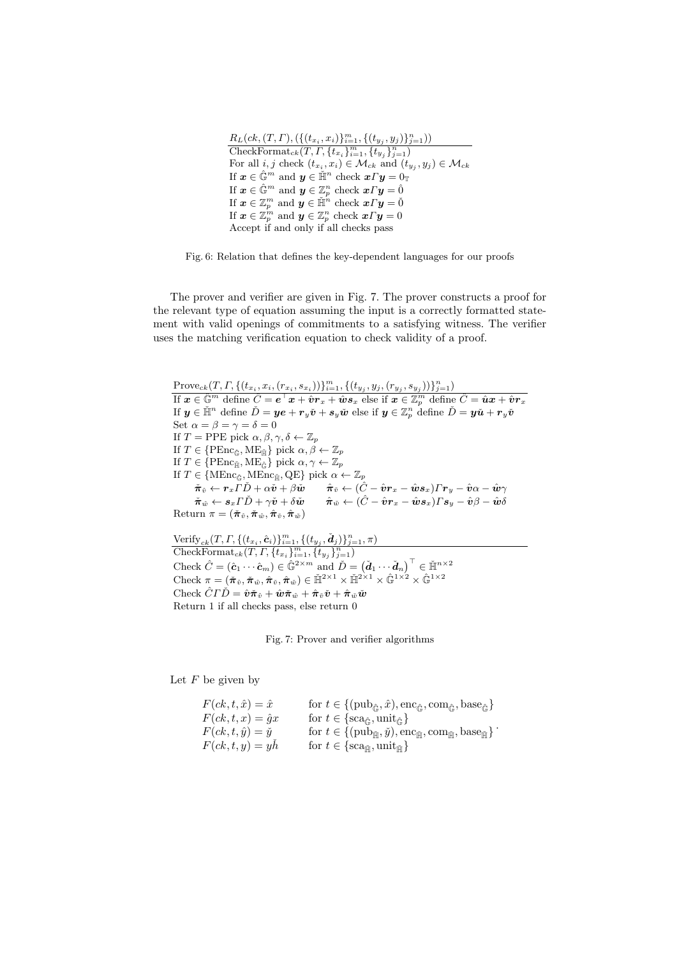| $R_L(ck, (T, \Gamma), (\{(t_{x_i}, x_i)\}_{i=1}^m, \{(t_{y_i}, y_j)\}_{j=1}^n))$                                                                       |
|--------------------------------------------------------------------------------------------------------------------------------------------------------|
| $\overline{\text{CheckFormat}_{ck}(T, \Gamma, \{t_{x_i}\}_{i=1}^m, \{t_{y_i}\}_{i=1}^n)}$                                                              |
| For all <i>i</i> , <i>j</i> check $(t_{x_i}, x_i) \in M_{ck}$ and $(t_{y_i}, y_j) \in M_{ck}$                                                          |
| If $\boldsymbol{x} \in \hat{\mathbb{G}}^m$ and $\boldsymbol{y} \in \tilde{\mathbb{H}}^n$ check $\boldsymbol{x} \Gamma \boldsymbol{y} = 0_{\mathbb{T}}$ |
| If $\boldsymbol{x} \in \widehat{\mathbb{G}}^m$ and $\boldsymbol{y} \in \mathbb{Z}_p^n$ check $\boldsymbol{x} \Gamma \boldsymbol{y} = \widehat{0}$      |
| If $\boldsymbol{x} \in \mathbb{Z}_p^m$ and $\boldsymbol{y} \in \check{\mathbb{H}}^n$ check $\boldsymbol{x} \Gamma \boldsymbol{y} = \check{0}$          |
| If $\boldsymbol{x} \in \mathbb{Z}_p^m$ and $\boldsymbol{y} \in \mathbb{Z}_p^n$ check $\boldsymbol{x} \Gamma \boldsymbol{y} = 0$                        |
| Accept if and only if all checks pass                                                                                                                  |

Fig. 6: Relation that defines the key-dependent languages for our proofs

The prover and verifier are given in Fig. 7. The prover constructs a proof for the relevant type of equation assuming the input is a correctly formatted statement with valid openings of commitments to a satisfying witness. The verifier uses the matching verification equation to check validity of a proof.

 $Prove_{ck}(T, \Gamma, \{(t_{x_i}, x_i, (r_{x_i}, s_{x_i}))\}_{i=1}^m, \{(t_{y_j}, y_j, (r_{y_j}, s_{y_j}))\}_{j=1}^n)$ If  $\bm{x}\in\hat{\mathbb{G}}^m$  define  $\hat{C}=\bm{e}^\top\bm{x}+\hat{\bm{v}}\bm{r}_x+\hat{\bm{w}}\bm{s}_x$  else if  $\bm{x}\in\mathbb{Z}_p^m$  define  $\hat{C}=\hat{\bm{u}}\bm{x}+\hat{\bm{v}}\bm{r}_x$ If  $\pmb{y}\in\check{\mathbb{H}}^n$  define  $\check{D}=\pmb{y}\pmb{e}+\pmb{r}_y\check{\pmb{v}}+\pmb{s}_y\check{\pmb{w}}$  else if  $\pmb{y}\in\mathbb{Z}_p^n$  define  $\check{D}=\pmb{y}\check{\pmb{u}}+\pmb{r}_y\check{\pmb{v}}$ Set  $\alpha = \beta = \gamma = \delta = 0$ If  $T = \text{PPE pick } \alpha, \beta, \gamma, \delta \leftarrow \mathbb{Z}_p$ If  $T \in \{ {\rm PEnc}_{\hat{\mathbb{G}}}, {\rm ME}_{\check{\mathbb{H}}}\}$  pick  $\alpha, \beta \leftarrow \mathbb{Z}_p$ If  $T \in \{ {\rm PEnc}_{\tilde{\mathbb{H}}}, {\rm ME}_{\hat{\mathbb{G}}}\}$  pick  $\alpha, \gamma \leftarrow \mathbb{Z}_p$ If  $T \in \{ \text{MEnc}_{\hat{\mathbb{G}}}, \text{MEnc}_{\check{\mathbb{H}}}, \text{QE} \}$  pick  $\alpha \leftarrow \mathbb{Z}_p$  $\check{\boldsymbol{\pi}}_{\hat{v}} \leftarrow \boldsymbol{r}_x \tilde{\boldsymbol{\varGamma}} \check{D} + \alpha \check{\boldsymbol{v}} + \beta \check{\boldsymbol{w}} \qquad \hat{\boldsymbol{\pi}}_{\check{v}} \leftarrow (\hat{C} - \hat{\boldsymbol{v}} \boldsymbol{r}_x - \hat{\boldsymbol{w}} \boldsymbol{s}_x) \boldsymbol{\varGamma} \boldsymbol{r}_y - \hat{\boldsymbol{v}} \alpha - \hat{\boldsymbol{w}} \gamma$  $\check{\boldsymbol{\pi}}_{\hat{w}} \leftarrow \boldsymbol{s}_x \boldsymbol{\varGamma} \check{D} + \gamma \check{\boldsymbol{v}} + \delta \check{\boldsymbol{w}} \qquad \hat{\boldsymbol{\pi}}_{\hat{w}} \leftarrow (\hat{C} - \hat{\boldsymbol{v}} \boldsymbol{r}_x - \hat{\boldsymbol{w}} \boldsymbol{s}_x) \boldsymbol{\varGamma} \boldsymbol{s}_y - \hat{\boldsymbol{v}} \beta - \hat{\boldsymbol{w}} \delta$ Return  $\pi = (\tilde{\pi}_{\hat{v}}, \tilde{\pi}_{\hat{w}}, \hat{\pi}_{\tilde{v}}, \hat{\pi}_{\tilde{w}})$ Verify<sub>ck</sub> $(T, \Gamma, \{(t_{x_i}, \hat{c}_i)\}_{i=1}^m, \{(t_{y_j}, \check{d}_j)\}_{j=1}^n, \pi)$  $\text{CheckFormat}_{ck}(T, \Gamma, \{t_{x_i}\}_{i=1}^m, \{t_{y_j}\}_{j=1}^n)$ 

Check  $\hat{C} = (\hat{c}_1 \cdots \hat{c}_m) \in \hat{\mathbb{G}}^{2 \times m}$  and  $\check{D} = (\check{d}_1 \cdots \check{d}_n)^{\top} \in \check{\mathbb{H}}^{n \times 2}$ Check  $\pi = (\tilde{\pi}_{\hat{v}}, \tilde{\pi}_{\hat{w}}, \hat{\pi}_{\hat{v}}, \hat{\pi}_{\hat{w}}) \in \tilde{\mathbb{H}}^{2 \times 1} \times \tilde{\mathbb{H}}^{2 \times 1} \times \hat{\mathbb{G}}^{1 \times 2} \times \hat{\mathbb{G}}^{1 \times 2}$ Check  $\hat{C}\Gamma\check{D} = \hat{\boldsymbol{v}}\check{\boldsymbol{\pi}}_{\hat{v}} + \hat{\boldsymbol{w}}\check{\boldsymbol{\pi}}_{\hat{w}} + \hat{\boldsymbol{\pi}}_{\check{v}}\check{\boldsymbol{v}} + \hat{\boldsymbol{\pi}}_{\check{w}}\check{\boldsymbol{w}}$ Return 1 if all checks pass, else return 0

Fig. 7: Prover and verifier algorithms

Let  $F$  be given by

| $F(ck, t, \hat{x}) = \hat{x}$   | for $t \in \{(\text{pub}_{\hat{\mathbb{G}}}, \hat{x}), \text{enc}_{\hat{\mathbb{G}}}, \text{com}_{\hat{\mathbb{G}}}, \text{base}_{\hat{\mathbb{G}}}\}\$            |
|---------------------------------|--------------------------------------------------------------------------------------------------------------------------------------------------------------------|
| $F(ck, t, x) = \hat{g}x$        | for $t \in \{sca_{\hat{\mathbb{C}}}, \text{unit}_{\hat{\mathbb{C}}}\}\$                                                                                            |
| $F(ck, t, \hat{y}) = \check{y}$ | for $t \in \{(\text{pub}_{\check{\mathbb{H}}}, \check{y}), \text{enc}_{\check{\mathbb{H}}}, \text{com}_{\check{\mathbb{H}}}, \text{base}_{\check{\mathbb{H}}}\}\.$ |
| $F(ck, t, y) = yh$              | for $t \in \{sca_{\tilde{\mathbb{H}}}, \text{unit}_{\tilde{\mathbb{H}}}\}\$                                                                                        |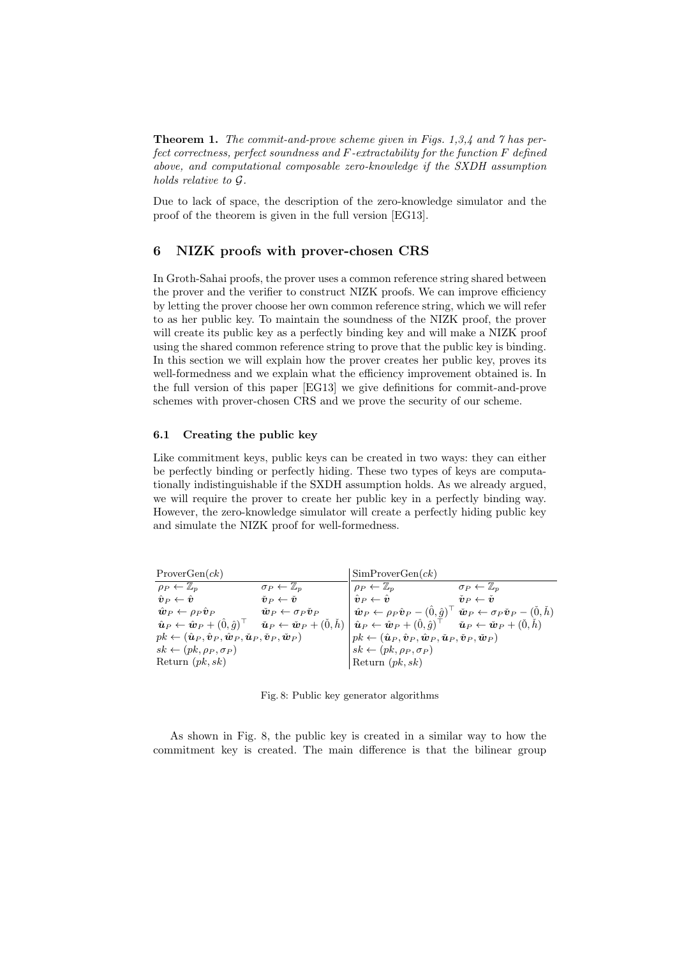**Theorem 1.** The commit-and-prove scheme given in Figs. 1,3,4 and 7 has perfect correctness, perfect soundness and F-extractability for the function F defined above, and computational composable zero-knowledge if the SXDH assumption holds relative to G.

Due to lack of space, the description of the zero-knowledge simulator and the proof of the theorem is given in the full version [EG13].

# 6 NIZK proofs with prover-chosen CRS

In Groth-Sahai proofs, the prover uses a common reference string shared between the prover and the verifier to construct NIZK proofs. We can improve efficiency by letting the prover choose her own common reference string, which we will refer to as her public key. To maintain the soundness of the NIZK proof, the prover will create its public key as a perfectly binding key and will make a NIZK proof using the shared common reference string to prove that the public key is binding. In this section we will explain how the prover creates her public key, proves its well-formedness and we explain what the efficiency improvement obtained is. In the full version of this paper [EG13] we give definitions for commit-and-prove schemes with prover-chosen CRS and we prove the security of our scheme.

### 6.1 Creating the public key

Like commitment keys, public keys can be created in two ways: they can either be perfectly binding or perfectly hiding. These two types of keys are computationally indistinguishable if the SXDH assumption holds. As we already argued, we will require the prover to create her public key in a perfectly binding way. However, the zero-knowledge simulator will create a perfectly hiding public key and simulate the NIZK proof for well-formedness.

| ProverGen(ck)                                                                                                          |                                                                | SimProverGen(ck)                                                                                                                                                                                                                                                                                                                |                                                                |
|------------------------------------------------------------------------------------------------------------------------|----------------------------------------------------------------|---------------------------------------------------------------------------------------------------------------------------------------------------------------------------------------------------------------------------------------------------------------------------------------------------------------------------------|----------------------------------------------------------------|
| $\rho_P \leftarrow \mathbb{Z}_p$                                                                                       | $\sigma_P \leftarrow \mathbb{Z}_n$                             | $\rho_P \leftarrow \mathbb{Z}_n$                                                                                                                                                                                                                                                                                                | $\sigma_P \leftarrow \mathbb{Z}_n$                             |
| $\hat{\bm{v}}_{P} \leftarrow \hat{\bm{v}}$                                                                             | $\check{\boldsymbol{v}}_{P} \leftarrow \check{\boldsymbol{v}}$ | $\hat{\bm{v}}_P \leftarrow \hat{\bm{v}}$                                                                                                                                                                                                                                                                                        | $\check{\boldsymbol{v}}_{P} \leftarrow \check{\boldsymbol{v}}$ |
| $\hat{\boldsymbol{w}}_P \leftarrow \rho_P \hat{\boldsymbol{v}}_P$                                                      | $\check{w}_P \leftarrow \sigma_P \check{v}_P$                  | $\hat{\boldsymbol{w}}_P \leftarrow \rho_P \hat{\boldsymbol{v}}_P - (\hat{0}, \hat{g})^\top \hat{\boldsymbol{w}}_P \leftarrow \sigma_P \check{\boldsymbol{v}}_P - (\hat{0}, h)$                                                                                                                                                  |                                                                |
|                                                                                                                        |                                                                | $\left\Vert \hat{\bm{u}}_{P} \leftarrow \hat{\bm{w}}_{P} + (\hat{0},\hat{g})^{\top} \quad \check{\bm{u}}_{P} \leftarrow \check{\bm{w}}_{P} + (\check{0},\check{h}) \mid \hat{\bm{u}}_{P} \leftarrow \hat{\bm{w}}_{P} + (\hat{0},\hat{g})^{\top} \quad \check{\bm{u}}_{P} \leftarrow \check{\bm{w}}_{P} + (\check{0},\check{h})$ |                                                                |
| $pk \leftarrow (\hat{\bm{u}}_P, \hat{\bm{v}}_P, \hat{\bm{w}}_P, \check{\bm{u}}_P, \check{\bm{v}}_P, \check{\bm{w}}_P)$ |                                                                | $p k \leftarrow (\hat{\boldsymbol{u}}_P, \hat{\boldsymbol{v}}_P, \hat{\boldsymbol{w}}_P, \check{\boldsymbol{u}}_P, \check{\boldsymbol{v}}_P, \check{\boldsymbol{w}}_P)$                                                                                                                                                         |                                                                |
| $sk \leftarrow (pk, \rho_P, \sigma_P)$                                                                                 |                                                                | $sk \leftarrow (pk, \rho_P, \sigma_P)$                                                                                                                                                                                                                                                                                          |                                                                |
| Return $(pk, sk)$                                                                                                      |                                                                | Return $(pk, sk)$                                                                                                                                                                                                                                                                                                               |                                                                |

Fig. 8: Public key generator algorithms

As shown in Fig. 8, the public key is created in a similar way to how the commitment key is created. The main difference is that the bilinear group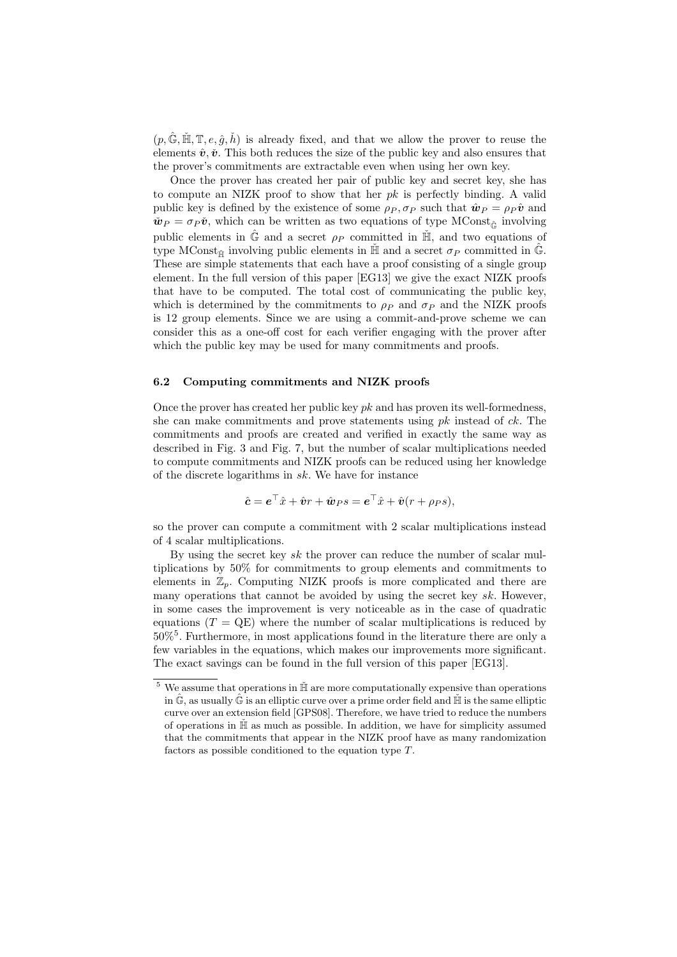$(p, \hat{\mathbb{G}}, \check{\mathbb{H}}, \mathbb{T}, e, \hat{g}, \check{h})$  is already fixed, and that we allow the prover to reuse the elements  $\hat{v}, \check{v}$ . This both reduces the size of the public key and also ensures that the prover's commitments are extractable even when using her own key.

Once the prover has created her pair of public key and secret key, she has to compute an NIZK proof to show that her  $pk$  is perfectly binding. A valid public key is defined by the existence of some  $\rho_P$ ,  $\sigma_P$  such that  $\hat{\mathbf{w}}_P = \rho_P \hat{\mathbf{v}}$  and  $\check{\boldsymbol{w}}_P = \sigma_P \check{\boldsymbol{v}}$ , which can be written as two equations of type MConst<sub> $\hat{\boldsymbol{\epsilon}}$ </sub> involving public elements in  $\hat{\mathbb{G}}$  and a secret  $\rho_P$  committed in  $\check{\mathbb{H}}$ , and two equations of type MConst<sub> $\check{\mathbb{H}}$ </sub> involving public elements in  $\check{\mathbb{H}}$  and a secret  $\sigma_P$  committed in  $\hat{\mathbb{G}}$ . These are simple statements that each have a proof consisting of a single group element. In the full version of this paper [EG13] we give the exact NIZK proofs that have to be computed. The total cost of communicating the public key, which is determined by the commitments to  $\rho_P$  and  $\sigma_P$  and the NIZK proofs is 12 group elements. Since we are using a commit-and-prove scheme we can consider this as a one-off cost for each verifier engaging with the prover after which the public key may be used for many commitments and proofs.

### 6.2 Computing commitments and NIZK proofs

Once the prover has created her public key  $pk$  and has proven its well-formedness, she can make commitments and prove statements using  $pk$  instead of  $ck$ . The commitments and proofs are created and verified in exactly the same way as described in Fig. 3 and Fig. 7, but the number of scalar multiplications needed to compute commitments and NIZK proofs can be reduced using her knowledge of the discrete logarithms in sk. We have for instance

$$
\hat{\mathbf{c}} = \mathbf{e}^{\top}\hat{x} + \hat{\mathbf{v}}r + \hat{\mathbf{w}}_P s = \mathbf{e}^{\top}\hat{x} + \hat{\mathbf{v}}(r + \rho_P s),
$$

so the prover can compute a commitment with 2 scalar multiplications instead of 4 scalar multiplications.

By using the secret key  $sk$  the prover can reduce the number of scalar multiplications by 50% for commitments to group elements and commitments to elements in  $\mathbb{Z}_n$ . Computing NIZK proofs is more complicated and there are many operations that cannot be avoided by using the secret key  $sk$ . However, in some cases the improvement is very noticeable as in the case of quadratic equations  $(T = QE)$  where the number of scalar multiplications is reduced by 50%<sup>5</sup> . Furthermore, in most applications found in the literature there are only a few variables in the equations, which makes our improvements more significant. The exact savings can be found in the full version of this paper [EG13].

 $5$  We assume that operations in  $H̃$  are more computationally expensive than operations in  $\hat{\mathbb{G}}$ , as usually  $\hat{\mathbb{G}}$  is an elliptic curve over a prime order field and  $\check{\mathbb{H}}$  is the same elliptic curve over an extension field [GPS08]. Therefore, we have tried to reduce the numbers of operations in  $H̃$  as much as possible. In addition, we have for simplicity assumed that the commitments that appear in the NIZK proof have as many randomization factors as possible conditioned to the equation type T.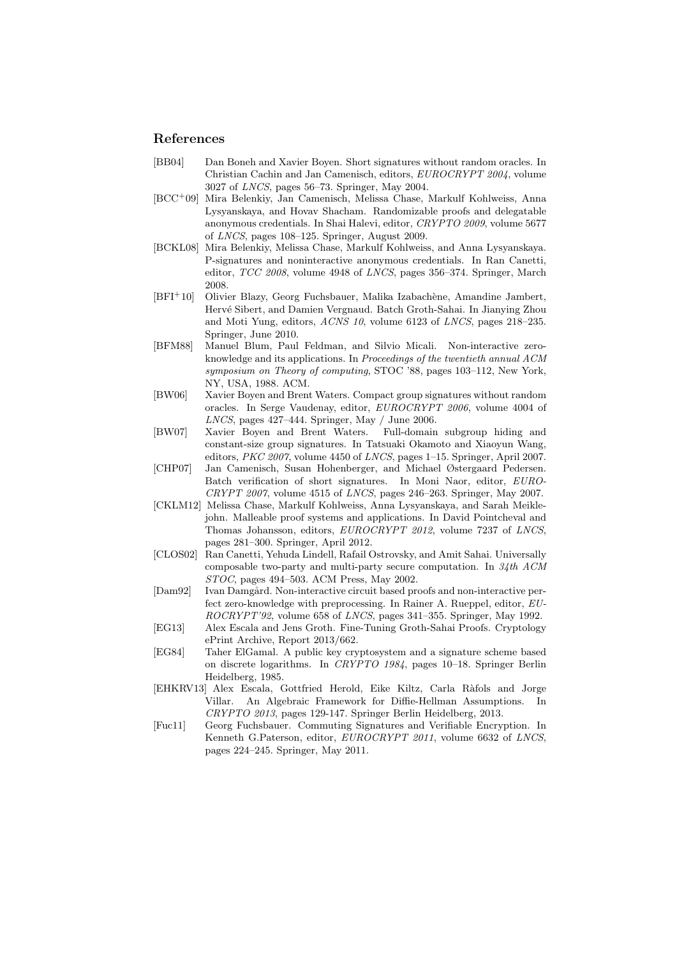# References

- [BB04] Dan Boneh and Xavier Boyen. Short signatures without random oracles. In Christian Cachin and Jan Camenisch, editors, EUROCRYPT 2004, volume 3027 of LNCS, pages 56–73. Springer, May 2004.
- [BCC<sup>+</sup>09] Mira Belenkiy, Jan Camenisch, Melissa Chase, Markulf Kohlweiss, Anna Lysyanskaya, and Hovav Shacham. Randomizable proofs and delegatable anonymous credentials. In Shai Halevi, editor, CRYPTO 2009, volume 5677 of LNCS, pages 108–125. Springer, August 2009.
- [BCKL08] Mira Belenkiy, Melissa Chase, Markulf Kohlweiss, and Anna Lysyanskaya. P-signatures and noninteractive anonymous credentials. In Ran Canetti, editor, TCC 2008, volume 4948 of LNCS, pages 356–374. Springer, March 2008.
- [BFI<sup>+</sup>10] Olivier Blazy, Georg Fuchsbauer, Malika Izabachène, Amandine Jambert, Herv´e Sibert, and Damien Vergnaud. Batch Groth-Sahai. In Jianying Zhou and Moti Yung, editors, ACNS 10, volume 6123 of LNCS, pages 218–235. Springer, June 2010.
- [BFM88] Manuel Blum, Paul Feldman, and Silvio Micali. Non-interactive zeroknowledge and its applications. In Proceedings of the twentieth annual ACM symposium on Theory of computing, STOC '88, pages 103–112, New York, NY, USA, 1988. ACM.
- [BW06] Xavier Boyen and Brent Waters. Compact group signatures without random oracles. In Serge Vaudenay, editor, EUROCRYPT 2006, volume 4004 of LNCS, pages 427–444. Springer, May / June 2006.
- [BW07] Xavier Boyen and Brent Waters. Full-domain subgroup hiding and constant-size group signatures. In Tatsuaki Okamoto and Xiaoyun Wang, editors, PKC 2007, volume 4450 of LNCS, pages 1–15. Springer, April 2007.
- [CHP07] Jan Camenisch, Susan Hohenberger, and Michael Østergaard Pedersen. Batch verification of short signatures. In Moni Naor, editor, EURO-CRYPT 2007, volume 4515 of LNCS, pages 246–263. Springer, May 2007.
- [CKLM12] Melissa Chase, Markulf Kohlweiss, Anna Lysyanskaya, and Sarah Meiklejohn. Malleable proof systems and applications. In David Pointcheval and Thomas Johansson, editors, EUROCRYPT 2012, volume 7237 of LNCS, pages 281–300. Springer, April 2012.
- [CLOS02] Ran Canetti, Yehuda Lindell, Rafail Ostrovsky, and Amit Sahai. Universally composable two-party and multi-party secure computation. In  $34th$  ACM STOC, pages 494–503. ACM Press, May 2002.
- [Dam92] Ivan Damgård. Non-interactive circuit based proofs and non-interactive perfect zero-knowledge with preprocessing. In Rainer A. Rueppel, editor, EU-ROCRYPT'92, volume 658 of LNCS, pages 341–355. Springer, May 1992.
- [EG13] Alex Escala and Jens Groth. Fine-Tuning Groth-Sahai Proofs. Cryptology ePrint Archive, Report 2013/662.
- [EG84] Taher ElGamal. A public key cryptosystem and a signature scheme based on discrete logarithms. In CRYPTO 1984, pages 10–18. Springer Berlin Heidelberg, 1985.
- [EHKRV13] Alex Escala, Gottfried Herold, Eike Kiltz, Carla R`afols and Jorge Villar. An Algebraic Framework for Diffie-Hellman Assumptions. In CRYPTO 2013, pages 129-147. Springer Berlin Heidelberg, 2013.
- [Fuc11] Georg Fuchsbauer. Commuting Signatures and Verifiable Encryption. In Kenneth G.Paterson, editor, EUROCRYPT 2011, volume 6632 of LNCS, pages 224–245. Springer, May 2011.